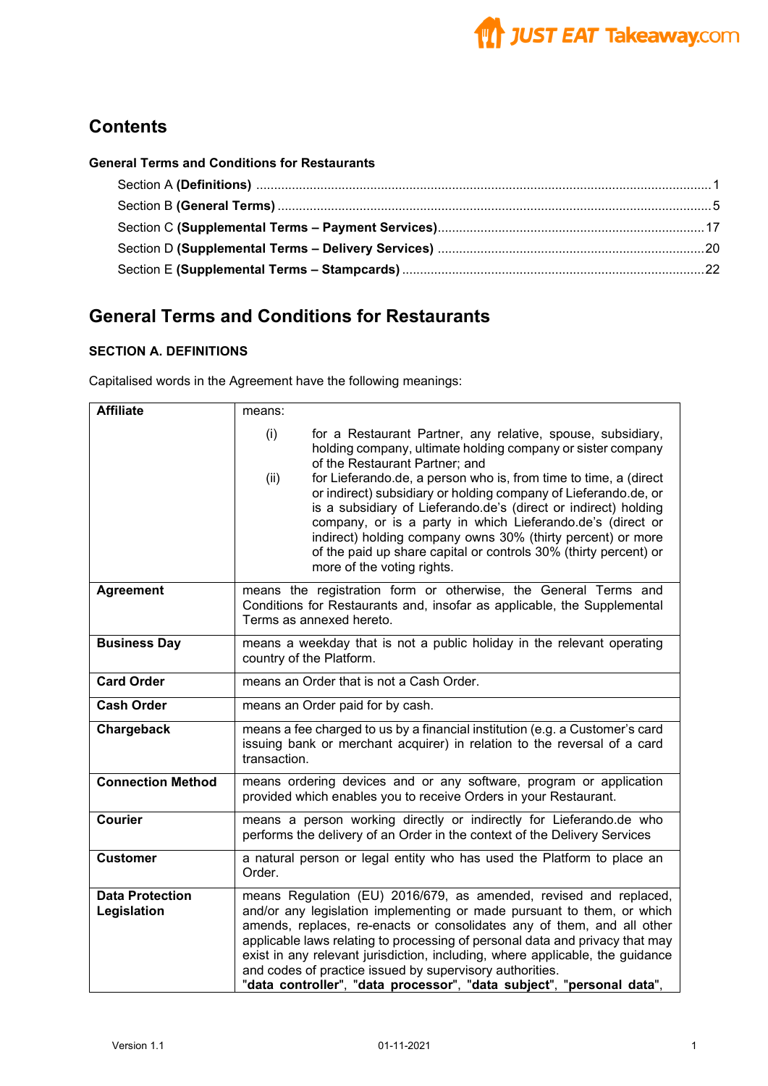

# **Contents**

| <b>General Terms and Conditions for Restaurants</b> |  |
|-----------------------------------------------------|--|
|                                                     |  |
|                                                     |  |
|                                                     |  |
|                                                     |  |
|                                                     |  |
|                                                     |  |

# **General Terms and Conditions for Restaurants**

# **SECTION A. DEFINITIONS**

Capitalised words in the Agreement have the following meanings:

| <b>Affiliate</b>                      | means:                                                                                                                                                                                                                                                                                                                                                                                                                                                                                                                                                                                                               |
|---------------------------------------|----------------------------------------------------------------------------------------------------------------------------------------------------------------------------------------------------------------------------------------------------------------------------------------------------------------------------------------------------------------------------------------------------------------------------------------------------------------------------------------------------------------------------------------------------------------------------------------------------------------------|
|                                       | (i)<br>for a Restaurant Partner, any relative, spouse, subsidiary,<br>holding company, ultimate holding company or sister company<br>of the Restaurant Partner; and<br>for Lieferando.de, a person who is, from time to time, a (direct<br>(ii)<br>or indirect) subsidiary or holding company of Lieferando.de, or<br>is a subsidiary of Lieferando.de's (direct or indirect) holding<br>company, or is a party in which Lieferando.de's (direct or<br>indirect) holding company owns 30% (thirty percent) or more<br>of the paid up share capital or controls 30% (thirty percent) or<br>more of the voting rights. |
| <b>Agreement</b>                      | means the registration form or otherwise, the General Terms and<br>Conditions for Restaurants and, insofar as applicable, the Supplemental<br>Terms as annexed hereto.                                                                                                                                                                                                                                                                                                                                                                                                                                               |
| <b>Business Day</b>                   | means a weekday that is not a public holiday in the relevant operating<br>country of the Platform.                                                                                                                                                                                                                                                                                                                                                                                                                                                                                                                   |
| <b>Card Order</b>                     | means an Order that is not a Cash Order.                                                                                                                                                                                                                                                                                                                                                                                                                                                                                                                                                                             |
| <b>Cash Order</b>                     | means an Order paid for by cash.                                                                                                                                                                                                                                                                                                                                                                                                                                                                                                                                                                                     |
| Chargeback                            | means a fee charged to us by a financial institution (e.g. a Customer's card<br>issuing bank or merchant acquirer) in relation to the reversal of a card<br>transaction.                                                                                                                                                                                                                                                                                                                                                                                                                                             |
| <b>Connection Method</b>              | means ordering devices and or any software, program or application<br>provided which enables you to receive Orders in your Restaurant.                                                                                                                                                                                                                                                                                                                                                                                                                                                                               |
| Courier                               | means a person working directly or indirectly for Lieferando.de who<br>performs the delivery of an Order in the context of the Delivery Services                                                                                                                                                                                                                                                                                                                                                                                                                                                                     |
| <b>Customer</b>                       | a natural person or legal entity who has used the Platform to place an<br>Order.                                                                                                                                                                                                                                                                                                                                                                                                                                                                                                                                     |
| <b>Data Protection</b><br>Legislation | means Regulation (EU) 2016/679, as amended, revised and replaced,<br>and/or any legislation implementing or made pursuant to them, or which<br>amends, replaces, re-enacts or consolidates any of them, and all other<br>applicable laws relating to processing of personal data and privacy that may<br>exist in any relevant jurisdiction, including, where applicable, the guidance<br>and codes of practice issued by supervisory authorities.<br>"data controller", "data processor", "data subject", "personal data",                                                                                          |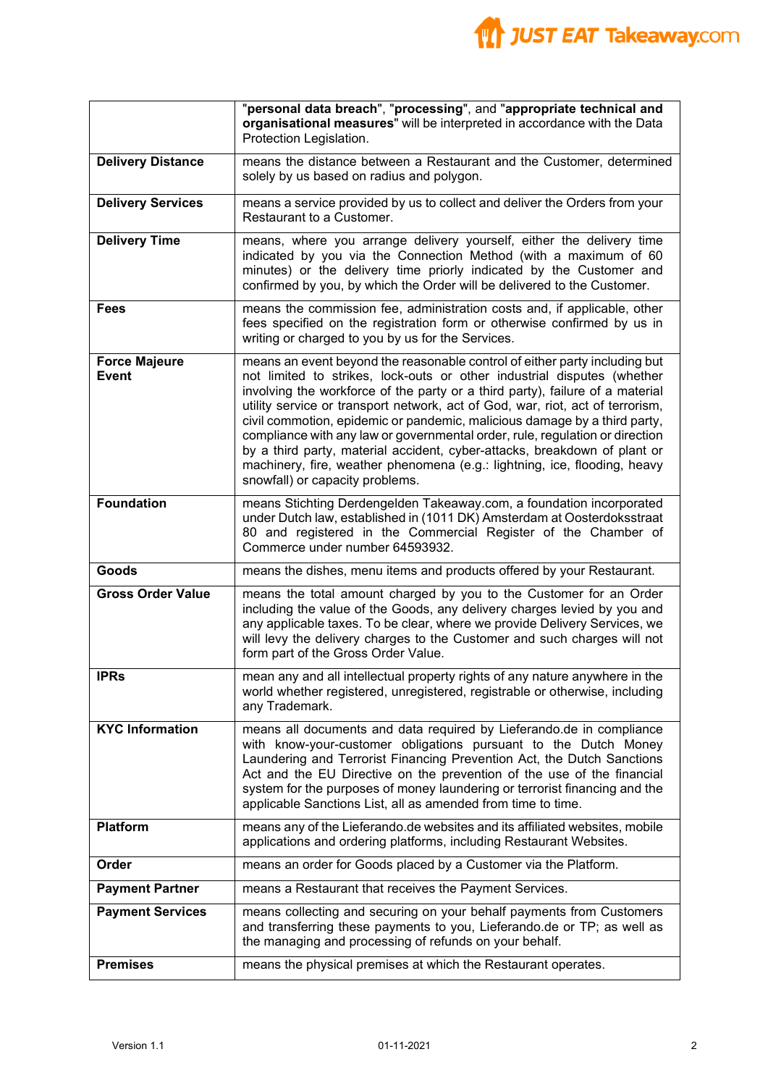

|                                      | "personal data breach", "processing", and "appropriate technical and<br>organisational measures" will be interpreted in accordance with the Data<br>Protection Legislation.                                                                                                                                                                                                                                                                                                                                                                                                                                                                                                        |
|--------------------------------------|------------------------------------------------------------------------------------------------------------------------------------------------------------------------------------------------------------------------------------------------------------------------------------------------------------------------------------------------------------------------------------------------------------------------------------------------------------------------------------------------------------------------------------------------------------------------------------------------------------------------------------------------------------------------------------|
| <b>Delivery Distance</b>             | means the distance between a Restaurant and the Customer, determined<br>solely by us based on radius and polygon.                                                                                                                                                                                                                                                                                                                                                                                                                                                                                                                                                                  |
| <b>Delivery Services</b>             | means a service provided by us to collect and deliver the Orders from your<br>Restaurant to a Customer.                                                                                                                                                                                                                                                                                                                                                                                                                                                                                                                                                                            |
| <b>Delivery Time</b>                 | means, where you arrange delivery yourself, either the delivery time<br>indicated by you via the Connection Method (with a maximum of 60<br>minutes) or the delivery time priorly indicated by the Customer and<br>confirmed by you, by which the Order will be delivered to the Customer.                                                                                                                                                                                                                                                                                                                                                                                         |
| <b>Fees</b>                          | means the commission fee, administration costs and, if applicable, other<br>fees specified on the registration form or otherwise confirmed by us in<br>writing or charged to you by us for the Services.                                                                                                                                                                                                                                                                                                                                                                                                                                                                           |
| <b>Force Majeure</b><br><b>Event</b> | means an event beyond the reasonable control of either party including but<br>not limited to strikes, lock-outs or other industrial disputes (whether<br>involving the workforce of the party or a third party), failure of a material<br>utility service or transport network, act of God, war, riot, act of terrorism,<br>civil commotion, epidemic or pandemic, malicious damage by a third party,<br>compliance with any law or governmental order, rule, regulation or direction<br>by a third party, material accident, cyber-attacks, breakdown of plant or<br>machinery, fire, weather phenomena (e.g.: lightning, ice, flooding, heavy<br>snowfall) or capacity problems. |
| <b>Foundation</b>                    | means Stichting Derdengelden Takeaway.com, a foundation incorporated<br>under Dutch law, established in (1011 DK) Amsterdam at Oosterdoksstraat<br>80 and registered in the Commercial Register of the Chamber of<br>Commerce under number 64593932.                                                                                                                                                                                                                                                                                                                                                                                                                               |
| Goods                                | means the dishes, menu items and products offered by your Restaurant.                                                                                                                                                                                                                                                                                                                                                                                                                                                                                                                                                                                                              |
| <b>Gross Order Value</b>             | means the total amount charged by you to the Customer for an Order<br>including the value of the Goods, any delivery charges levied by you and<br>any applicable taxes. To be clear, where we provide Delivery Services, we<br>will levy the delivery charges to the Customer and such charges will not<br>form part of the Gross Order Value.                                                                                                                                                                                                                                                                                                                                     |
| <b>IPRs</b>                          | mean any and all intellectual property rights of any nature anywhere in the<br>world whether registered, unregistered, registrable or otherwise, including<br>any Trademark.                                                                                                                                                                                                                                                                                                                                                                                                                                                                                                       |
| <b>KYC Information</b>               | means all documents and data required by Lieferando.de in compliance<br>with know-your-customer obligations pursuant to the Dutch Money<br>Laundering and Terrorist Financing Prevention Act, the Dutch Sanctions<br>Act and the EU Directive on the prevention of the use of the financial<br>system for the purposes of money laundering or terrorist financing and the<br>applicable Sanctions List, all as amended from time to time.                                                                                                                                                                                                                                          |
| <b>Platform</b>                      | means any of the Lieferando.de websites and its affiliated websites, mobile<br>applications and ordering platforms, including Restaurant Websites.                                                                                                                                                                                                                                                                                                                                                                                                                                                                                                                                 |
| Order                                | means an order for Goods placed by a Customer via the Platform.                                                                                                                                                                                                                                                                                                                                                                                                                                                                                                                                                                                                                    |
| <b>Payment Partner</b>               | means a Restaurant that receives the Payment Services.                                                                                                                                                                                                                                                                                                                                                                                                                                                                                                                                                                                                                             |
| <b>Payment Services</b>              | means collecting and securing on your behalf payments from Customers<br>and transferring these payments to you, Lieferando.de or TP; as well as<br>the managing and processing of refunds on your behalf.                                                                                                                                                                                                                                                                                                                                                                                                                                                                          |
| <b>Premises</b>                      | means the physical premises at which the Restaurant operates.                                                                                                                                                                                                                                                                                                                                                                                                                                                                                                                                                                                                                      |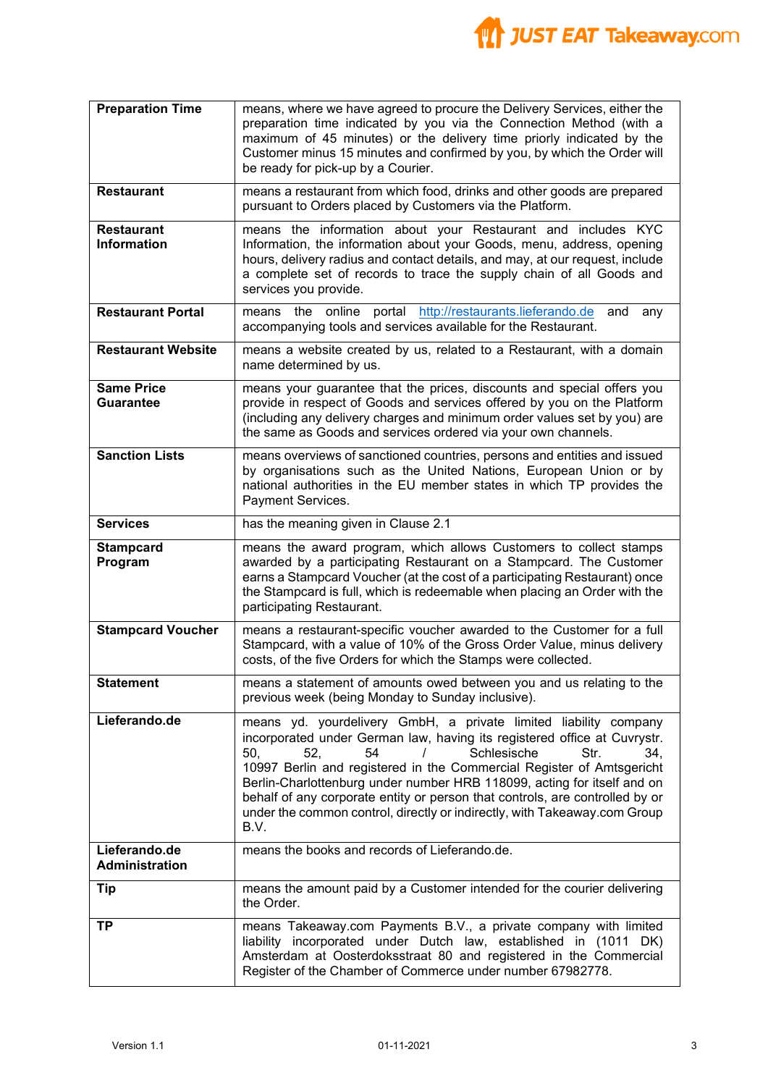

| <b>Preparation Time</b>                 | means, where we have agreed to procure the Delivery Services, either the<br>preparation time indicated by you via the Connection Method (with a<br>maximum of 45 minutes) or the delivery time priorly indicated by the<br>Customer minus 15 minutes and confirmed by you, by which the Order will<br>be ready for pick-up by a Courier.                                                                                                                                                                                |
|-----------------------------------------|-------------------------------------------------------------------------------------------------------------------------------------------------------------------------------------------------------------------------------------------------------------------------------------------------------------------------------------------------------------------------------------------------------------------------------------------------------------------------------------------------------------------------|
| <b>Restaurant</b>                       | means a restaurant from which food, drinks and other goods are prepared<br>pursuant to Orders placed by Customers via the Platform.                                                                                                                                                                                                                                                                                                                                                                                     |
| <b>Restaurant</b><br><b>Information</b> | means the information about your Restaurant and includes KYC<br>Information, the information about your Goods, menu, address, opening<br>hours, delivery radius and contact details, and may, at our request, include<br>a complete set of records to trace the supply chain of all Goods and<br>services you provide.                                                                                                                                                                                                  |
| <b>Restaurant Portal</b>                | means the online portal http://restaurants.lieferando.de and<br>any<br>accompanying tools and services available for the Restaurant.                                                                                                                                                                                                                                                                                                                                                                                    |
| <b>Restaurant Website</b>               | means a website created by us, related to a Restaurant, with a domain<br>name determined by us.                                                                                                                                                                                                                                                                                                                                                                                                                         |
| <b>Same Price</b><br><b>Guarantee</b>   | means your guarantee that the prices, discounts and special offers you<br>provide in respect of Goods and services offered by you on the Platform<br>(including any delivery charges and minimum order values set by you) are<br>the same as Goods and services ordered via your own channels.                                                                                                                                                                                                                          |
| <b>Sanction Lists</b>                   | means overviews of sanctioned countries, persons and entities and issued<br>by organisations such as the United Nations, European Union or by<br>national authorities in the EU member states in which TP provides the<br>Payment Services.                                                                                                                                                                                                                                                                             |
| <b>Services</b>                         | has the meaning given in Clause 2.1                                                                                                                                                                                                                                                                                                                                                                                                                                                                                     |
| <b>Stampcard</b><br>Program             | means the award program, which allows Customers to collect stamps<br>awarded by a participating Restaurant on a Stampcard. The Customer<br>earns a Stampcard Voucher (at the cost of a participating Restaurant) once<br>the Stampcard is full, which is redeemable when placing an Order with the<br>participating Restaurant.                                                                                                                                                                                         |
| <b>Stampcard Voucher</b>                | means a restaurant-specific voucher awarded to the Customer for a full<br>Stampcard, with a value of 10% of the Gross Order Value, minus delivery<br>costs, of the five Orders for which the Stamps were collected.                                                                                                                                                                                                                                                                                                     |
| <b>Statement</b>                        | means a statement of amounts owed between you and us relating to the<br>previous week (being Monday to Sunday inclusive).                                                                                                                                                                                                                                                                                                                                                                                               |
| Lieferando.de                           | means yd. yourdelivery GmbH, a private limited liability company<br>incorporated under German law, having its registered office at Cuvrystr.<br>Str.<br>54<br>Schlesische<br>50,<br>52,<br>34,<br>10997 Berlin and registered in the Commercial Register of Amtsgericht<br>Berlin-Charlottenburg under number HRB 118099, acting for itself and on<br>behalf of any corporate entity or person that controls, are controlled by or<br>under the common control, directly or indirectly, with Takeaway.com Group<br>B.V. |
| Lieferando.de<br>Administration         | means the books and records of Lieferando.de.                                                                                                                                                                                                                                                                                                                                                                                                                                                                           |
| Tip                                     | means the amount paid by a Customer intended for the courier delivering<br>the Order.                                                                                                                                                                                                                                                                                                                                                                                                                                   |
| ΤP                                      | means Takeaway.com Payments B.V., a private company with limited<br>liability incorporated under Dutch law, established in (1011<br>DK)<br>Amsterdam at Oosterdoksstraat 80 and registered in the Commercial<br>Register of the Chamber of Commerce under number 67982778.                                                                                                                                                                                                                                              |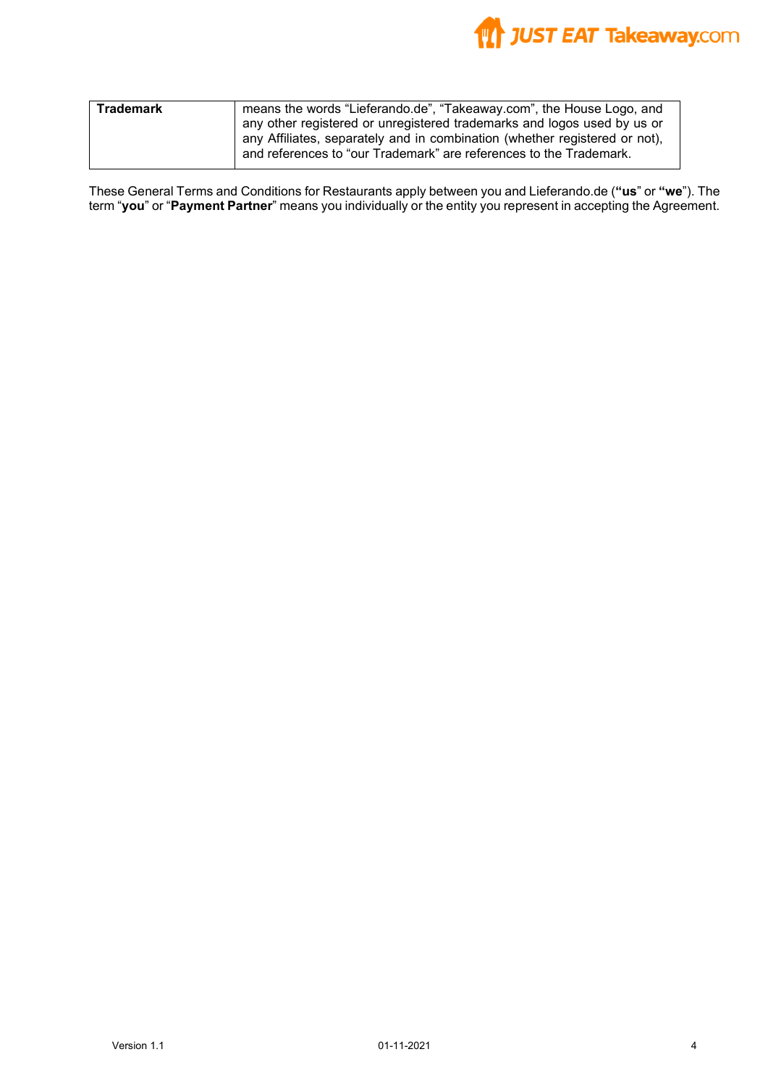

| <b>Trademark</b> | means the words "Lieferando.de", "Takeaway.com", the House Logo, and<br>any other registered or unregistered trademarks and logos used by us or  |
|------------------|--------------------------------------------------------------------------------------------------------------------------------------------------|
|                  | any Affiliates, separately and in combination (whether registered or not),<br>and references to "our Trademark" are references to the Trademark. |

These General Terms and Conditions for Restaurants apply between you and Lieferando.de (**"us**" or **"we**"). The term "**you**" or "**Payment Partner**" means you individually or the entity you represent in accepting the Agreement.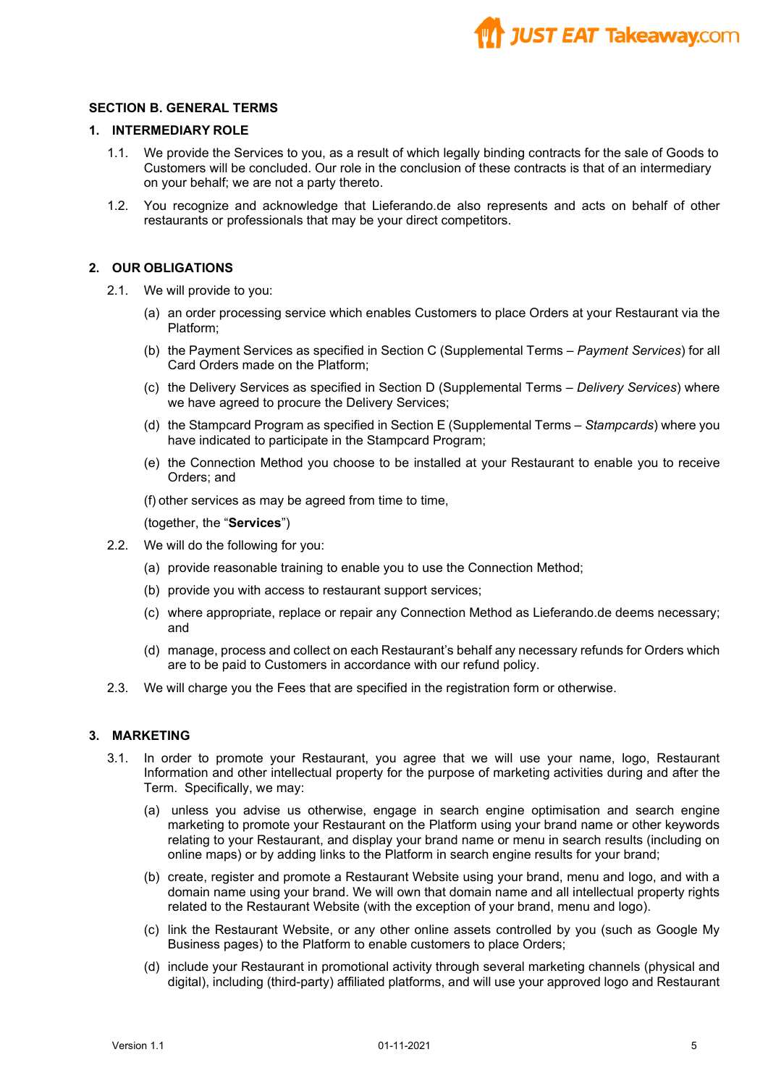

# **SECTION B. GENERAL TERMS**

#### **1. INTERMEDIARY ROLE**

- 1.1. We provide the Services to you, as a result of which legally binding contracts for the sale of Goods to Customers will be concluded. Our role in the conclusion of these contracts is that of an intermediary on your behalf; we are not a party thereto.
- 1.2. You recognize and acknowledge that Lieferando.de also represents and acts on behalf of other restaurants or professionals that may be your direct competitors.

#### **2. OUR OBLIGATIONS**

- 2.1. We will provide to you:
	- (a) an order processing service which enables Customers to place Orders at your Restaurant via the Platform;
	- (b) the Payment Services as specified in Section C (Supplemental Terms *Payment Services*) for all Card Orders made on the Platform;
	- (c) the Delivery Services as specified in Section D (Supplemental Terms *Delivery Services*) where we have agreed to procure the Delivery Services;
	- (d) the Stampcard Program as specified in Section E (Supplemental Terms *Stampcards*) where you have indicated to participate in the Stampcard Program;
	- (e) the Connection Method you choose to be installed at your Restaurant to enable you to receive Orders; and

(f) other services as may be agreed from time to time,

- (together, the "**Services**")
- 2.2. We will do the following for you:
	- (a) provide reasonable training to enable you to use the Connection Method;
	- (b) provide you with access to restaurant support services;
	- (c) where appropriate, replace or repair any Connection Method as Lieferando.de deems necessary; and
	- (d) manage, process and collect on each Restaurant's behalf any necessary refunds for Orders which are to be paid to Customers in accordance with our refund policy.
- 2.3. We will charge you the Fees that are specified in the registration form or otherwise.

#### **3. MARKETING**

- 3.1. In order to promote your Restaurant, you agree that we will use your name, logo, Restaurant Information and other intellectual property for the purpose of marketing activities during and after the Term. Specifically, we may:
	- (a) unless you advise us otherwise, engage in search engine optimisation and search engine marketing to promote your Restaurant on the Platform using your brand name or other keywords relating to your Restaurant, and display your brand name or menu in search results (including on online maps) or by adding links to the Platform in search engine results for your brand;
	- (b) create, register and promote a Restaurant Website using your brand, menu and logo, and with a domain name using your brand. We will own that domain name and all intellectual property rights related to the Restaurant Website (with the exception of your brand, menu and logo).
	- (c) link the Restaurant Website, or any other online assets controlled by you (such as Google My Business pages) to the Platform to enable customers to place Orders;
	- (d) include your Restaurant in promotional activity through several marketing channels (physical and digital), including (third-party) affiliated platforms, and will use your approved logo and Restaurant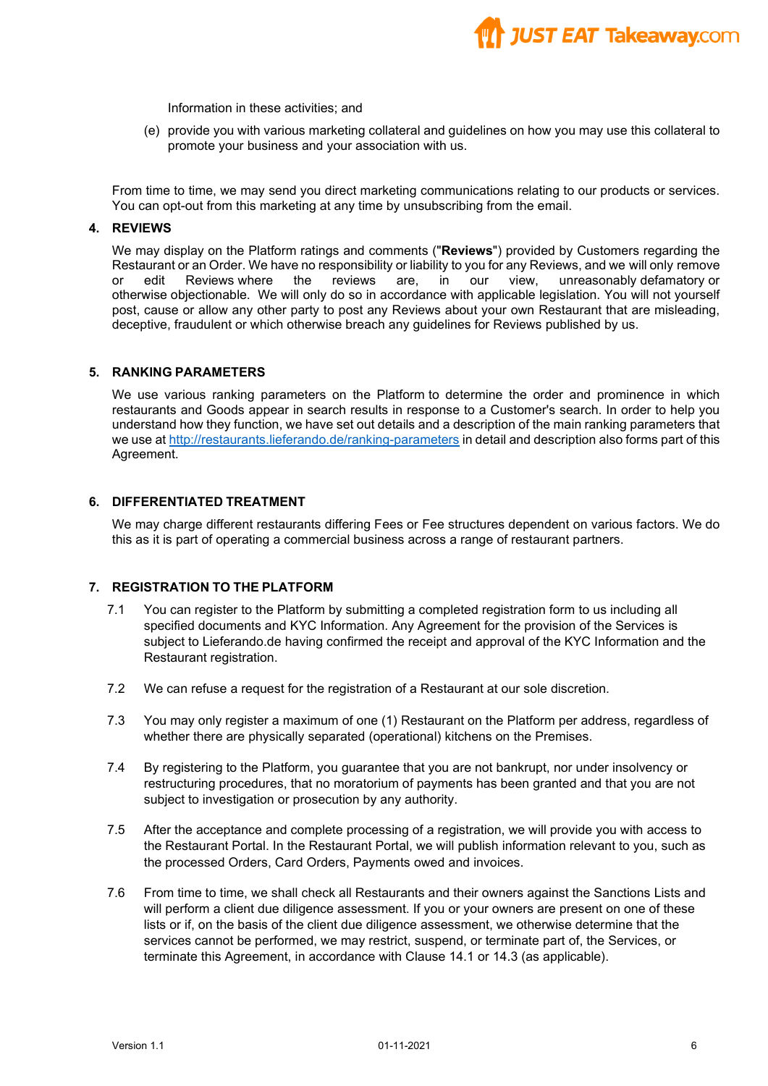

Information in these activities; and

(e) provide you with various marketing collateral and guidelines on how you may use this collateral to promote your business and your association with us.

From time to time, we may send you direct marketing communications relating to our products or services. You can opt-out from this marketing at any time by unsubscribing from the email.

#### **4. REVIEWS**

We may display on the Platform ratings and comments ("**Reviews**") provided by Customers regarding the Restaurant or an Order. We have no responsibility or liability to you for any Reviews, and we will only remove<br>
or edit Reviews where the reviews are, in our view, unreasonably defamatory or unreasonably defamatory or otherwise objectionable. We will only do so in accordance with applicable legislation. You will not yourself post, cause or allow any other party to post any Reviews about your own Restaurant that are misleading, deceptive, fraudulent or which otherwise breach any guidelines for Reviews published by us.

#### **5. RANKING PARAMETERS**

We use various ranking parameters on the Platform to determine the order and prominence in which restaurants and Goods appear in search results in response to a Customer's search. In order to help you understand how they function, we have set out details and a description of the main ranking parameters that we use at<http://restaurants.lieferando.de/ranking-parameters> in detail and description also forms part of this Agreement.

# **6. DIFFERENTIATED TREATMENT**

We may charge different restaurants differing Fees or Fee structures dependent on various factors. We do this as it is part of operating a commercial business across a range of restaurant partners.

# **7. REGISTRATION TO THE PLATFORM**

- 7.1 You can register to the Platform by submitting a completed registration form to us including all specified documents and KYC Information. Any Agreement for the provision of the Services is subject to Lieferando.de having confirmed the receipt and approval of the KYC Information and the Restaurant registration.
- 7.2 We can refuse a request for the registration of a Restaurant at our sole discretion.
- 7.3 You may only register a maximum of one (1) Restaurant on the Platform per address, regardless of whether there are physically separated (operational) kitchens on the Premises.
- 7.4 By registering to the Platform, you guarantee that you are not bankrupt, nor under insolvency or restructuring procedures, that no moratorium of payments has been granted and that you are not subject to investigation or prosecution by any authority.
- 7.5 After the acceptance and complete processing of a registration, we will provide you with access to the Restaurant Portal. In the Restaurant Portal, we will publish information relevant to you, such as the processed Orders, Card Orders, Payments owed and invoices.
- 7.6 From time to time, we shall check all Restaurants and their owners against the Sanctions Lists and will perform a client due diligence assessment. If you or your owners are present on one of these lists or if, on the basis of the client due diligence assessment, we otherwise determine that the services cannot be performed, we may restrict, suspend, or terminate part of, the Services, or terminate this Agreement, in accordance with Clause 14.1 or 14.3 (as applicable).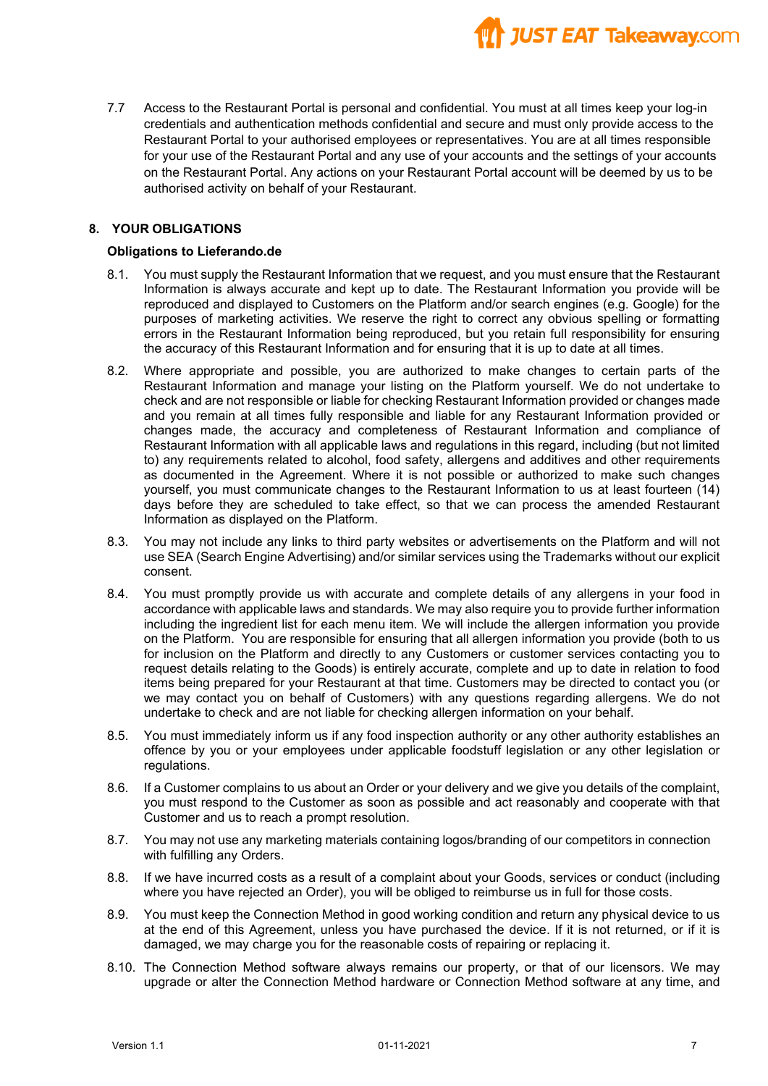

7.7 Access to the Restaurant Portal is personal and confidential. You must at all times keep your log-in credentials and authentication methods confidential and secure and must only provide access to the Restaurant Portal to your authorised employees or representatives. You are at all times responsible for your use of the Restaurant Portal and any use of your accounts and the settings of your accounts on the Restaurant Portal. Any actions on your Restaurant Portal account will be deemed by us to be authorised activity on behalf of your Restaurant.

## **8. YOUR OBLIGATIONS**

#### **Obligations to Lieferando.de**

- 8.1. You must supply the Restaurant Information that we request, and you must ensure that the Restaurant Information is always accurate and kept up to date. The Restaurant Information you provide will be reproduced and displayed to Customers on the Platform and/or search engines (e.g. Google) for the purposes of marketing activities. We reserve the right to correct any obvious spelling or formatting errors in the Restaurant Information being reproduced, but you retain full responsibility for ensuring the accuracy of this Restaurant Information and for ensuring that it is up to date at all times.
- 8.2. Where appropriate and possible, you are authorized to make changes to certain parts of the Restaurant Information and manage your listing on the Platform yourself. We do not undertake to check and are not responsible or liable for checking Restaurant Information provided or changes made and you remain at all times fully responsible and liable for any Restaurant Information provided or changes made, the accuracy and completeness of Restaurant Information and compliance of Restaurant Information with all applicable laws and regulations in this regard, including (but not limited to) any requirements related to alcohol, food safety, allergens and additives and other requirements as documented in the Agreement. Where it is not possible or authorized to make such changes yourself, you must communicate changes to the Restaurant Information to us at least fourteen (14) days before they are scheduled to take effect, so that we can process the amended Restaurant Information as displayed on the Platform.
- 8.3. You may not include any links to third party websites or advertisements on the Platform and will not use SEA (Search Engine Advertising) and/or similar services using the Trademarks without our explicit consent.
- 8.4. You must promptly provide us with accurate and complete details of any allergens in your food in accordance with applicable laws and standards. We may also require you to provide further information including the ingredient list for each menu item. We will include the allergen information you provide on the Platform. You are responsible for ensuring that all allergen information you provide (both to us for inclusion on the Platform and directly to any Customers or customer services contacting you to request details relating to the Goods) is entirely accurate, complete and up to date in relation to food items being prepared for your Restaurant at that time. Customers may be directed to contact you (or we may contact you on behalf of Customers) with any questions regarding allergens. We do not undertake to check and are not liable for checking allergen information on your behalf.
- 8.5. You must immediately inform us if any food inspection authority or any other authority establishes an offence by you or your employees under applicable foodstuff legislation or any other legislation or regulations.
- 8.6. If a Customer complains to us about an Order or your delivery and we give you details of the complaint, you must respond to the Customer as soon as possible and act reasonably and cooperate with that Customer and us to reach a prompt resolution.
- 8.7. You may not use any marketing materials containing logos/branding of our competitors in connection with fulfilling any Orders.
- 8.8. If we have incurred costs as a result of a complaint about your Goods, services or conduct (including where you have rejected an Order), you will be obliged to reimburse us in full for those costs.
- 8.9. You must keep the Connection Method in good working condition and return any physical device to us at the end of this Agreement, unless you have purchased the device. If it is not returned, or if it is damaged, we may charge you for the reasonable costs of repairing or replacing it.
- 8.10. The Connection Method software always remains our property, or that of our licensors. We may upgrade or alter the Connection Method hardware or Connection Method software at any time, and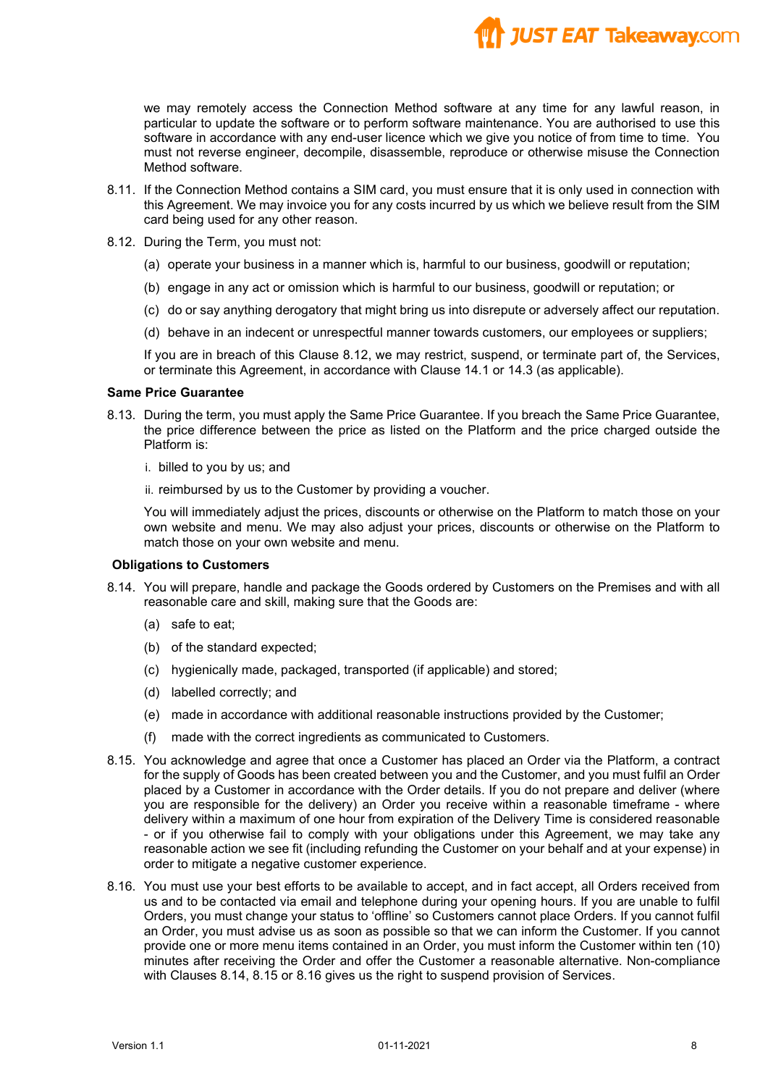

we may remotely access the Connection Method software at any time for any lawful reason, in particular to update the software or to perform software maintenance. You are authorised to use this software in accordance with any end-user licence which we give you notice of from time to time. You must not reverse engineer, decompile, disassemble, reproduce or otherwise misuse the Connection Method software.

- 8.11. If the Connection Method contains a SIM card, you must ensure that it is only used in connection with this Agreement. We may invoice you for any costs incurred by us which we believe result from the SIM card being used for any other reason.
- 8.12. During the Term, you must not:
	- (a) operate your business in a manner which is, harmful to our business, goodwill or reputation;
	- (b) engage in any act or omission which is harmful to our business, goodwill or reputation; or
	- (c) do or say anything derogatory that might bring us into disrepute or adversely affect our reputation.
	- (d) behave in an indecent or unrespectful manner towards customers, our employees or suppliers;

If you are in breach of this Clause 8.12, we may restrict, suspend, or terminate part of, the Services, or terminate this Agreement, in accordance with Clause 14.1 or 14.3 (as applicable).

#### **Same Price Guarantee**

- 8.13. During the term, you must apply the Same Price Guarantee. If you breach the Same Price Guarantee, the price difference between the price as listed on the Platform and the price charged outside the Platform is:
	- i. billed to you by us; and
	- ii. reimbursed by us to the Customer by providing a voucher.

You will immediately adjust the prices, discounts or otherwise on the Platform to match those on your own website and menu. We may also adjust your prices, discounts or otherwise on the Platform to match those on your own website and menu.

#### **Obligations to Customers**

- 8.14. You will prepare, handle and package the Goods ordered by Customers on the Premises and with all reasonable care and skill, making sure that the Goods are:
	- (a) safe to eat;
	- (b) of the standard expected;
	- (c) hygienically made, packaged, transported (if applicable) and stored;
	- (d) labelled correctly; and
	- (e) made in accordance with additional reasonable instructions provided by the Customer;
	- (f) made with the correct ingredients as communicated to Customers.
- 8.15. You acknowledge and agree that once a Customer has placed an Order via the Platform, a contract for the supply of Goods has been created between you and the Customer, and you must fulfil an Order placed by a Customer in accordance with the Order details. If you do not prepare and deliver (where you are responsible for the delivery) an Order you receive within a reasonable timeframe - where delivery within a maximum of one hour from expiration of the Delivery Time is considered reasonable - or if you otherwise fail to comply with your obligations under this Agreement, we may take any reasonable action we see fit (including refunding the Customer on your behalf and at your expense) in order to mitigate a negative customer experience.
- 8.16. You must use your best efforts to be available to accept, and in fact accept, all Orders received from us and to be contacted via email and telephone during your opening hours. If you are unable to fulfil Orders, you must change your status to 'offline' so Customers cannot place Orders. If you cannot fulfil an Order, you must advise us as soon as possible so that we can inform the Customer. If you cannot provide one or more menu items contained in an Order, you must inform the Customer within ten (10) minutes after receiving the Order and offer the Customer a reasonable alternative. Non-compliance with Clauses 8.14, 8.15 or 8.16 gives us the right to suspend provision of Services.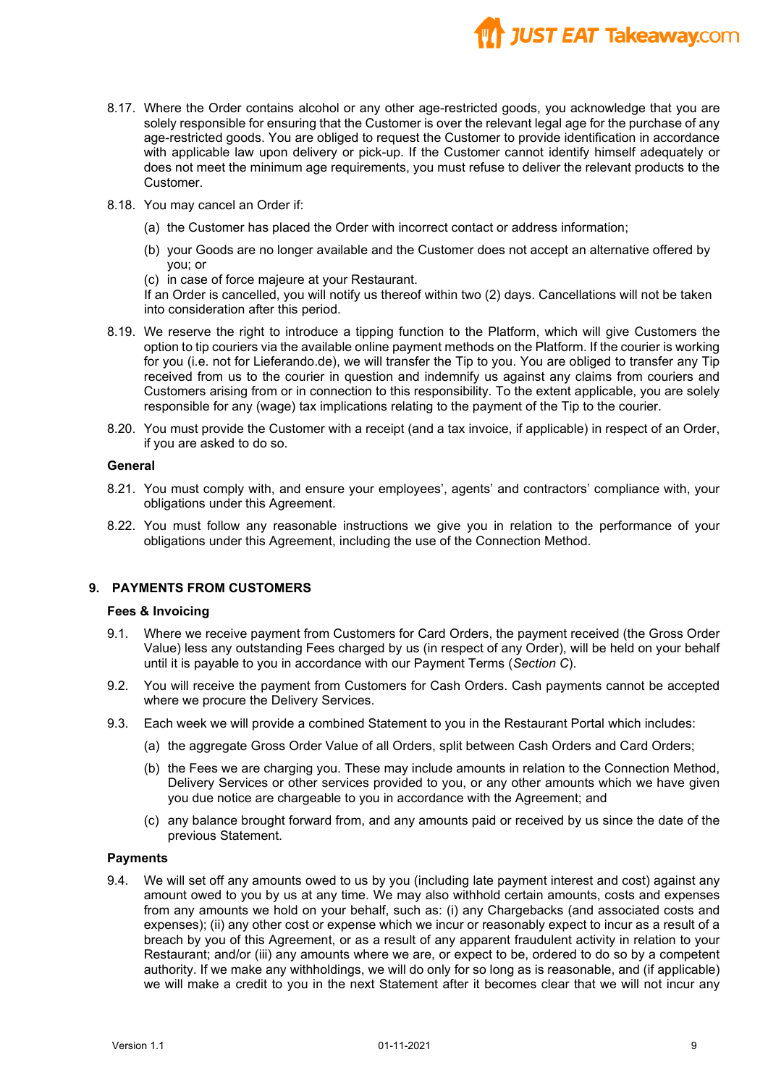

- 8.17. Where the Order contains alcohol or any other age-restricted goods, you acknowledge that you are solely responsible for ensuring that the Customer is over the relevant legal age for the purchase of any age-restricted goods. You are obliged to request the Customer to provide identification in accordance with applicable law upon delivery or pick-up. If the Customer cannot identify himself adequately or does not meet the minimum age requirements, you must refuse to deliver the relevant products to the Customer.
- 8.18. You may cancel an Order if:
	- (a) the Customer has placed the Order with incorrect contact or address information;
	- (b) your Goods are no longer available and the Customer does not accept an alternative offered by you; or
	- (c) in case of force majeure at your Restaurant.

If an Order is cancelled, you will notify us thereof within two (2) days. Cancellations will not be taken into consideration after this period.

- 8.19. We reserve the right to introduce a tipping function to the Platform, which will give Customers the option to tip couriers via the available online payment methods on the Platform. If the courier is working for you (i.e. not for Lieferando.de), we will transfer the Tip to you. You are obliged to transfer any Tip received from us to the courier in question and indemnify us against any claims from couriers and Customers arising from or in connection to this responsibility. To the extent applicable, you are solely responsible for any (wage) tax implications relating to the payment of the Tip to the courier.
- 8.20. You must provide the Customer with a receipt (and a tax invoice, if applicable) in respect of an Order, if you are asked to do so.

#### **General**

- 8.21. You must comply with, and ensure your employees', agents' and contractors' compliance with, your obligations under this Agreement.
- 8.22. You must follow any reasonable instructions we give you in relation to the performance of your obligations under this Agreement, including the use of the Connection Method.

## **9. PAYMENTS FROM CUSTOMERS**

#### **Fees & Invoicing**

- 9.1. Where we receive payment from Customers for Card Orders, the payment received (the Gross Order Value) less any outstanding Fees charged by us (in respect of any Order), will be held on your behalf until it is payable to you in accordance with our Payment Terms (*Section C*).
- 9.2. You will receive the payment from Customers for Cash Orders. Cash payments cannot be accepted where we procure the Delivery Services.
- 9.3. Each week we will provide a combined Statement to you in the Restaurant Portal which includes:
	- (a) the aggregate Gross Order Value of all Orders, split between Cash Orders and Card Orders;
	- (b) the Fees we are charging you. These may include amounts in relation to the Connection Method, Delivery Services or other services provided to you, or any other amounts which we have given you due notice are chargeable to you in accordance with the Agreement; and
	- (c) any balance brought forward from, and any amounts paid or received by us since the date of the previous Statement.

## **Payments**

9.4. We will set off any amounts owed to us by you (including late payment interest and cost) against any amount owed to you by us at any time. We may also withhold certain amounts, costs and expenses from any amounts we hold on your behalf, such as: (i) any Chargebacks (and associated costs and expenses); (ii) any other cost or expense which we incur or reasonably expect to incur as a result of a breach by you of this Agreement, or as a result of any apparent fraudulent activity in relation to your Restaurant; and/or (iii) any amounts where we are, or expect to be, ordered to do so by a competent authority. If we make any withholdings, we will do only for so long as is reasonable, and (if applicable) we will make a credit to you in the next Statement after it becomes clear that we will not incur any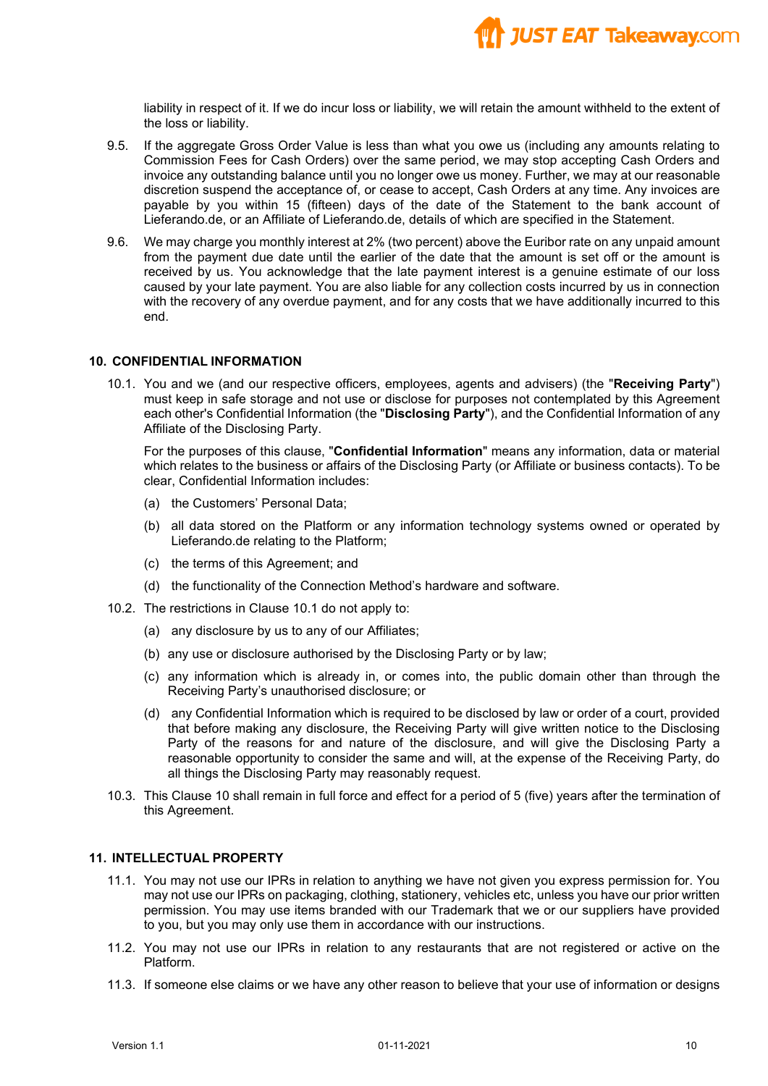liability in respect of it. If we do incur loss or liability, we will retain the amount withheld to the extent of the loss or liability.

- 9.5. If the aggregate Gross Order Value is less than what you owe us (including any amounts relating to Commission Fees for Cash Orders) over the same period, we may stop accepting Cash Orders and invoice any outstanding balance until you no longer owe us money. Further, we may at our reasonable discretion suspend the acceptance of, or cease to accept, Cash Orders at any time. Any invoices are payable by you within 15 (fifteen) days of the date of the Statement to the bank account of Lieferando.de, or an Affiliate of Lieferando.de, details of which are specified in the Statement.
- 9.6. We may charge you monthly interest at 2% (two percent) above the Euribor rate on any unpaid amount from the payment due date until the earlier of the date that the amount is set off or the amount is received by us. You acknowledge that the late payment interest is a genuine estimate of our loss caused by your late payment. You are also liable for any collection costs incurred by us in connection with the recovery of any overdue payment, and for any costs that we have additionally incurred to this end.

## **10. CONFIDENTIAL INFORMATION**

10.1. You and we (and our respective officers, employees, agents and advisers) (the "**Receiving Party**") must keep in safe storage and not use or disclose for purposes not contemplated by this Agreement each other's Confidential Information (the "**Disclosing Party**"), and the Confidential Information of any Affiliate of the Disclosing Party.

For the purposes of this clause, "**Confidential Information**" means any information, data or material which relates to the business or affairs of the Disclosing Party (or Affiliate or business contacts). To be clear, Confidential Information includes:

- (a) the Customers' Personal Data;
- (b) all data stored on the Platform or any information technology systems owned or operated by Lieferando.de relating to the Platform;
- (c) the terms of this Agreement; and
- (d) the functionality of the Connection Method's hardware and software.
- 10.2. The restrictions in Clause 10.1 do not apply to:
	- (a) any disclosure by us to any of our Affiliates;
	- (b) any use or disclosure authorised by the Disclosing Party or by law;
	- (c) any information which is already in, or comes into, the public domain other than through the Receiving Party's unauthorised disclosure; or
	- (d) any Confidential Information which is required to be disclosed by law or order of a court, provided that before making any disclosure, the Receiving Party will give written notice to the Disclosing Party of the reasons for and nature of the disclosure, and will give the Disclosing Party a reasonable opportunity to consider the same and will, at the expense of the Receiving Party, do all things the Disclosing Party may reasonably request.
- 10.3. This Clause 10 shall remain in full force and effect for a period of 5 (five) years after the termination of this Agreement.

# **11. INTELLECTUAL PROPERTY**

- 11.1. You may not use our IPRs in relation to anything we have not given you express permission for. You may not use our IPRs on packaging, clothing, stationery, vehicles etc, unless you have our prior written permission. You may use items branded with our Trademark that we or our suppliers have provided to you, but you may only use them in accordance with our instructions.
- 11.2. You may not use our IPRs in relation to any restaurants that are not registered or active on the Platform.
- 11.3. If someone else claims or we have any other reason to believe that your use of information or designs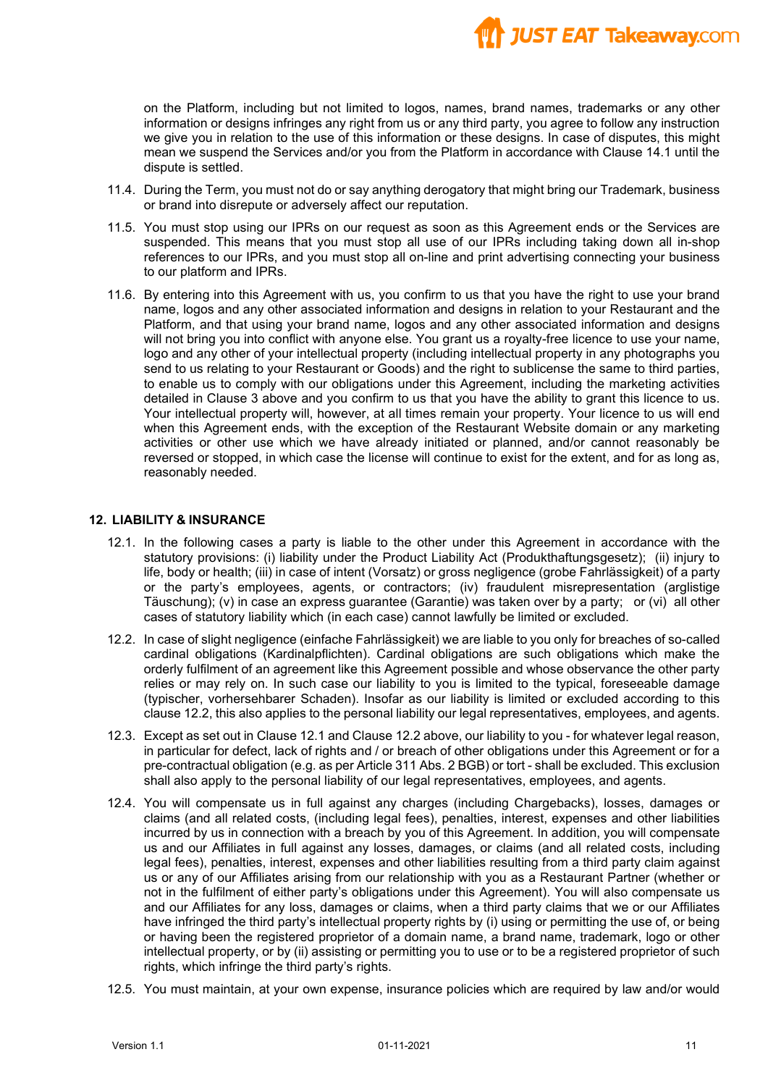

on the Platform, including but not limited to logos, names, brand names, trademarks or any other information or designs infringes any right from us or any third party, you agree to follow any instruction we give you in relation to the use of this information or these designs. In case of disputes, this might mean we suspend the Services and/or you from the Platform in accordance with Clause 14.1 until the dispute is settled.

- 11.4. During the Term, you must not do or say anything derogatory that might bring our Trademark, business or brand into disrepute or adversely affect our reputation.
- 11.5. You must stop using our IPRs on our request as soon as this Agreement ends or the Services are suspended. This means that you must stop all use of our IPRs including taking down all in-shop references to our IPRs, and you must stop all on-line and print advertising connecting your business to our platform and IPRs.
- 11.6. By entering into this Agreement with us, you confirm to us that you have the right to use your brand name, logos and any other associated information and designs in relation to your Restaurant and the Platform, and that using your brand name, logos and any other associated information and designs will not bring you into conflict with anyone else. You grant us a royalty-free licence to use your name, logo and any other of your intellectual property (including intellectual property in any photographs you send to us relating to your Restaurant or Goods) and the right to sublicense the same to third parties, to enable us to comply with our obligations under this Agreement, including the marketing activities detailed in Clause 3 above and you confirm to us that you have the ability to grant this licence to us. Your intellectual property will, however, at all times remain your property. Your licence to us will end when this Agreement ends, with the exception of the Restaurant Website domain or any marketing activities or other use which we have already initiated or planned, and/or cannot reasonably be reversed or stopped, in which case the license will continue to exist for the extent, and for as long as, reasonably needed.

#### **12. LIABILITY & INSURANCE**

- 12.1. In the following cases a party is liable to the other under this Agreement in accordance with the statutory provisions: (i) liability under the Product Liability Act (Produkthaftungsgesetz); (ii) injury to life, body or health; (iii) in case of intent (Vorsatz) or gross negligence (grobe Fahrlässigkeit) of a party or the party's employees, agents, or contractors; (iv) fraudulent misrepresentation (arglistige Täuschung); (v) in case an express guarantee (Garantie) was taken over by a party; or (vi) all other cases of statutory liability which (in each case) cannot lawfully be limited or excluded.
- 12.2. In case of slight negligence (einfache Fahrlässigkeit) we are liable to you only for breaches of so-called cardinal obligations (Kardinalpflichten). Cardinal obligations are such obligations which make the orderly fulfilment of an agreement like this Agreement possible and whose observance the other party relies or may rely on. In such case our liability to you is limited to the typical, foreseeable damage (typischer, vorhersehbarer Schaden). Insofar as our liability is limited or excluded according to this clause 12.2, this also applies to the personal liability our legal representatives, employees, and agents.
- 12.3. Except as set out in Clause 12.1 and Clause 12.2 above, our liability to you for whatever legal reason, in particular for defect, lack of rights and / or breach of other obligations under this Agreement or for a pre-contractual obligation (e.g. as per Article 311 Abs. 2 BGB) or tort - shall be excluded. This exclusion shall also apply to the personal liability of our legal representatives, employees, and agents.
- 12.4. You will compensate us in full against any charges (including Chargebacks), losses, damages or claims (and all related costs, (including legal fees), penalties, interest, expenses and other liabilities incurred by us in connection with a breach by you of this Agreement. In addition, you will compensate us and our Affiliates in full against any losses, damages, or claims (and all related costs, including legal fees), penalties, interest, expenses and other liabilities resulting from a third party claim against us or any of our Affiliates arising from our relationship with you as a Restaurant Partner (whether or not in the fulfilment of either party's obligations under this Agreement). You will also compensate us and our Affiliates for any loss, damages or claims, when a third party claims that we or our Affiliates have infringed the third party's intellectual property rights by (i) using or permitting the use of, or being or having been the registered proprietor of a domain name, a brand name, trademark, logo or other intellectual property, or by (ii) assisting or permitting you to use or to be a registered proprietor of such rights, which infringe the third party's rights.
- 12.5. You must maintain, at your own expense, insurance policies which are required by law and/or would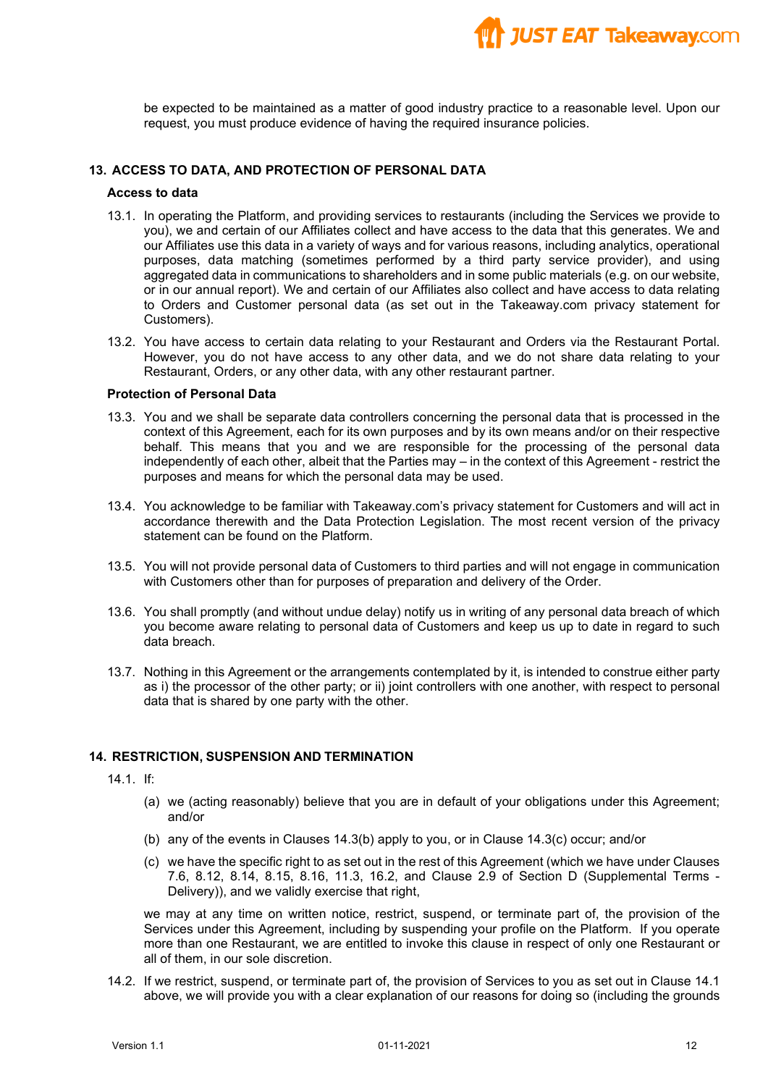

be expected to be maintained as a matter of good industry practice to a reasonable level. Upon our request, you must produce evidence of having the required insurance policies.

#### **13. ACCESS TO DATA, AND PROTECTION OF PERSONAL DATA**

#### **Access to data**

- 13.1. In operating the Platform, and providing services to restaurants (including the Services we provide to you), we and certain of our Affiliates collect and have access to the data that this generates. We and our Affiliates use this data in a variety of ways and for various reasons, including analytics, operational purposes, data matching (sometimes performed by a third party service provider), and using aggregated data in communications to shareholders and in some public materials (e.g. on our website, or in our annual report). We and certain of our Affiliates also collect and have access to data relating to Orders and Customer personal data (as set out in the Takeaway.com privacy statement for Customers).
- 13.2. You have access to certain data relating to your Restaurant and Orders via the Restaurant Portal. However, you do not have access to any other data, and we do not share data relating to your Restaurant, Orders, or any other data, with any other restaurant partner.

#### **Protection of Personal Data**

- 13.3. You and we shall be separate data controllers concerning the personal data that is processed in the context of this Agreement, each for its own purposes and by its own means and/or on their respective behalf. This means that you and we are responsible for the processing of the personal data independently of each other, albeit that the Parties may – in the context of this Agreement - restrict the purposes and means for which the personal data may be used.
- 13.4. You acknowledge to be familiar with Takeaway.com's privacy statement for Customers and will act in accordance therewith and the Data Protection Legislation. The most recent version of the privacy statement can be found on the Platform.
- 13.5. You will not provide personal data of Customers to third parties and will not engage in communication with Customers other than for purposes of preparation and delivery of the Order.
- 13.6. You shall promptly (and without undue delay) notify us in writing of any personal data breach of which you become aware relating to personal data of Customers and keep us up to date in regard to such data breach.
- 13.7. Nothing in this Agreement or the arrangements contemplated by it, is intended to construe either party as i) the processor of the other party; or ii) joint controllers with one another, with respect to personal data that is shared by one party with the other.

# **14. RESTRICTION, SUSPENSION AND TERMINATION**

14.1. If:

- (a) we (acting reasonably) believe that you are in default of your obligations under this Agreement; and/or
- (b) any of the events in Clauses 14.3(b) apply to you, or in Clause 14.3(c) occur; and/or
- (c) we have the specific right to as set out in the rest of this Agreement (which we have under Clauses 7.6, 8.12, 8.14, 8.15, 8.16, 11.3, 16.2, and Clause 2.9 of Section D (Supplemental Terms - Delivery)), and we validly exercise that right,

we may at any time on written notice, restrict, suspend, or terminate part of, the provision of the Services under this Agreement, including by suspending your profile on the Platform. If you operate more than one Restaurant, we are entitled to invoke this clause in respect of only one Restaurant or all of them, in our sole discretion.

14.2. If we restrict, suspend, or terminate part of, the provision of Services to you as set out in Clause 14.1 above, we will provide you with a clear explanation of our reasons for doing so (including the grounds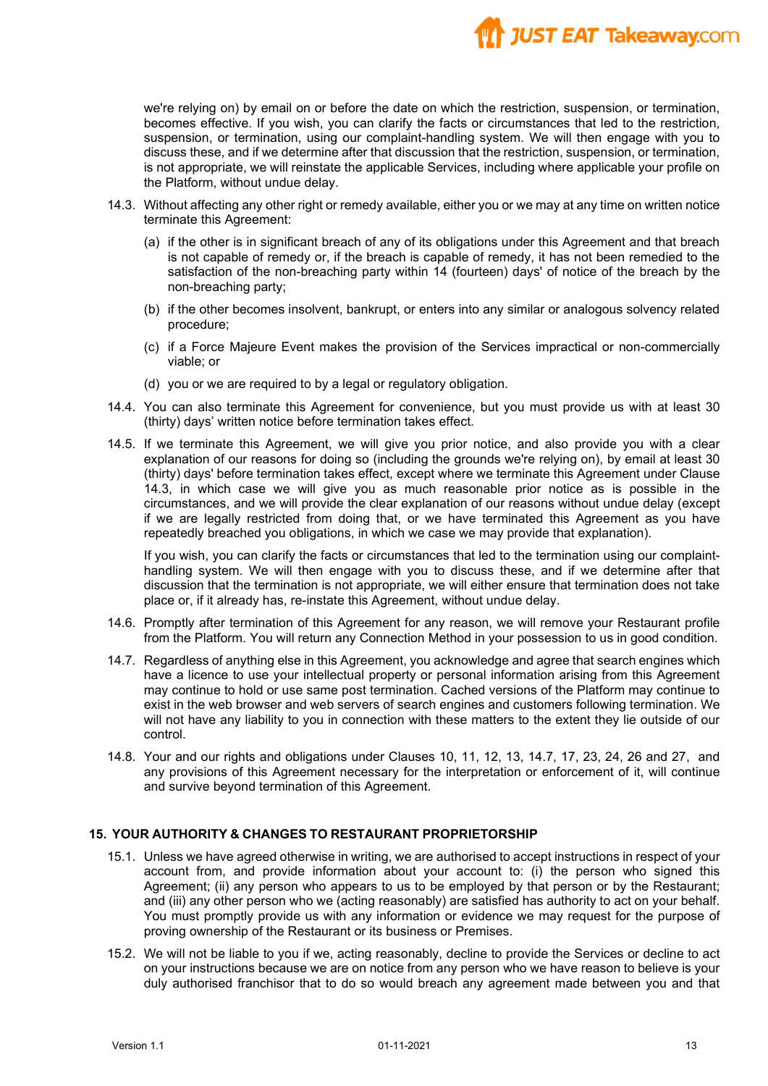

we're relying on) by email on or before the date on which the restriction, suspension, or termination, becomes effective. If you wish, you can clarify the facts or circumstances that led to the restriction, suspension, or termination, using our complaint-handling system. We will then engage with you to discuss these, and if we determine after that discussion that the restriction, suspension, or termination, is not appropriate, we will reinstate the applicable Services, including where applicable your profile on the Platform, without undue delay.

- 14.3. Without affecting any other right or remedy available, either you or we may at any time on written notice terminate this Agreement:
	- (a) if the other is in significant breach of any of its obligations under this Agreement and that breach is not capable of remedy or, if the breach is capable of remedy, it has not been remedied to the satisfaction of the non-breaching party within 14 (fourteen) days' of notice of the breach by the non-breaching party;
	- (b) if the other becomes insolvent, bankrupt, or enters into any similar or analogous solvency related procedure;
	- (c) if a Force Majeure Event makes the provision of the Services impractical or non-commercially viable; or
	- (d) you or we are required to by a legal or regulatory obligation.
- 14.4. You can also terminate this Agreement for convenience, but you must provide us with at least 30 (thirty) days' written notice before termination takes effect.
- 14.5. If we terminate this Agreement, we will give you prior notice, and also provide you with a clear explanation of our reasons for doing so (including the grounds we're relying on), by email at least 30 (thirty) days' before termination takes effect, except where we terminate this Agreement under Clause 14.3, in which case we will give you as much reasonable prior notice as is possible in the circumstances, and we will provide the clear explanation of our reasons without undue delay (except if we are legally restricted from doing that, or we have terminated this Agreement as you have repeatedly breached you obligations, in which we case we may provide that explanation).

If you wish, you can clarify the facts or circumstances that led to the termination using our complainthandling system. We will then engage with you to discuss these, and if we determine after that discussion that the termination is not appropriate, we will either ensure that termination does not take place or, if it already has, re-instate this Agreement, without undue delay.

- 14.6. Promptly after termination of this Agreement for any reason, we will remove your Restaurant profile from the Platform. You will return any Connection Method in your possession to us in good condition.
- 14.7. Regardless of anything else in this Agreement, you acknowledge and agree that search engines which have a licence to use your intellectual property or personal information arising from this Agreement may continue to hold or use same post termination. Cached versions of the Platform may continue to exist in the web browser and web servers of search engines and customers following termination. We will not have any liability to you in connection with these matters to the extent they lie outside of our control.
- 14.8. Your and our rights and obligations under Clauses 10, 11, 12, 13, 14.7, 17, 23, 24, 26 and 27, and any provisions of this Agreement necessary for the interpretation or enforcement of it, will continue and survive beyond termination of this Agreement.

## **15. YOUR AUTHORITY & CHANGES TO RESTAURANT PROPRIETORSHIP**

- 15.1. Unless we have agreed otherwise in writing, we are authorised to accept instructions in respect of your account from, and provide information about your account to: (i) the person who signed this Agreement; (ii) any person who appears to us to be employed by that person or by the Restaurant; and (iii) any other person who we (acting reasonably) are satisfied has authority to act on your behalf. You must promptly provide us with any information or evidence we may request for the purpose of proving ownership of the Restaurant or its business or Premises.
- 15.2. We will not be liable to you if we, acting reasonably, decline to provide the Services or decline to act on your instructions because we are on notice from any person who we have reason to believe is your duly authorised franchisor that to do so would breach any agreement made between you and that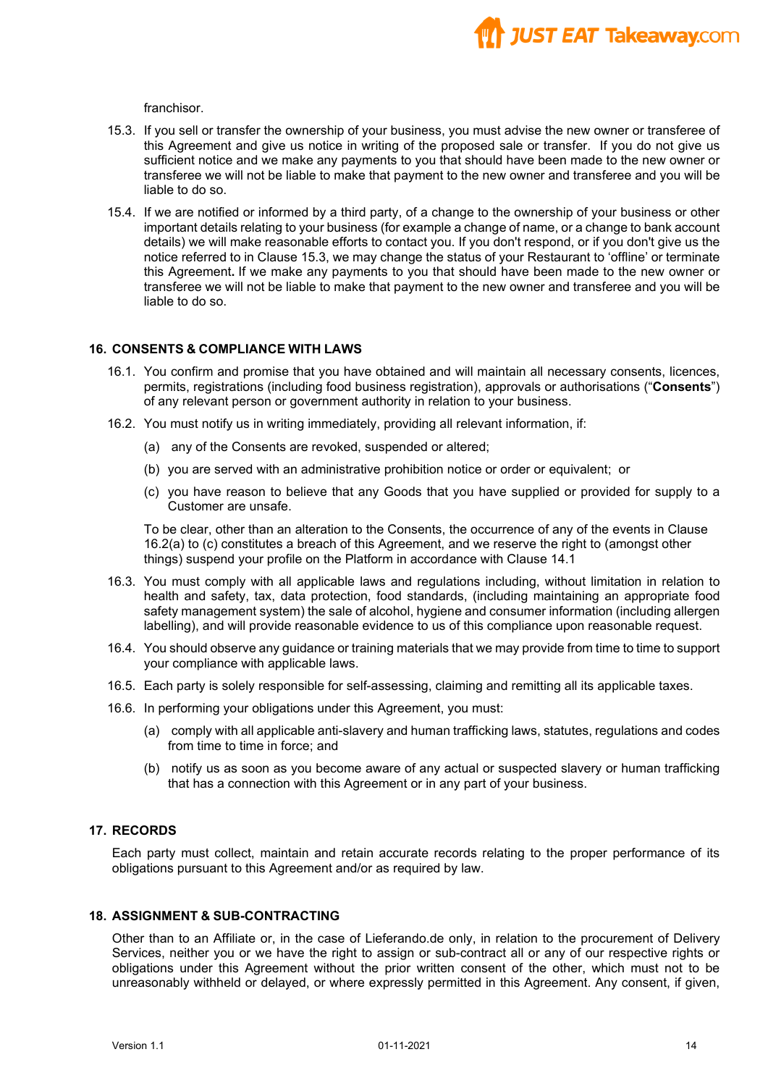

franchisor.

- 15.3. If you sell or transfer the ownership of your business, you must advise the new owner or transferee of this Agreement and give us notice in writing of the proposed sale or transfer. If you do not give us sufficient notice and we make any payments to you that should have been made to the new owner or transferee we will not be liable to make that payment to the new owner and transferee and you will be liable to do so.
- 15.4. If we are notified or informed by a third party, of a change to the ownership of your business or other important details relating to your business (for example a change of name, or a change to bank account details) we will make reasonable efforts to contact you. If you don't respond, or if you don't give us the notice referred to in Clause 15.3, we may change the status of your Restaurant to 'offline' or terminate this Agreement**.** If we make any payments to you that should have been made to the new owner or transferee we will not be liable to make that payment to the new owner and transferee and you will be liable to do so.

#### **16. CONSENTS & COMPLIANCE WITH LAWS**

- 16.1. You confirm and promise that you have obtained and will maintain all necessary consents, licences, permits, registrations (including food business registration), approvals or authorisations ("**Consents**") of any relevant person or government authority in relation to your business.
- 16.2. You must notify us in writing immediately, providing all relevant information, if:
	- (a) any of the Consents are revoked, suspended or altered;
	- (b) you are served with an administrative prohibition notice or order or equivalent; or
	- (c) you have reason to believe that any Goods that you have supplied or provided for supply to a Customer are unsafe.

To be clear, other than an alteration to the Consents, the occurrence of any of the events in Clause 16.2(a) to (c) constitutes a breach of this Agreement, and we reserve the right to (amongst other things) suspend your profile on the Platform in accordance with Clause 14.1

- 16.3. You must comply with all applicable laws and regulations including, without limitation in relation to health and safety, tax, data protection, food standards, (including maintaining an appropriate food safety management system) the sale of alcohol, hygiene and consumer information (including allergen labelling), and will provide reasonable evidence to us of this compliance upon reasonable request.
- 16.4. You should observe any guidance or training materials that we may provide from time to time to support your compliance with applicable laws.
- 16.5. Each party is solely responsible for self-assessing, claiming and remitting all its applicable taxes.
- 16.6. In performing your obligations under this Agreement, you must:
	- (a) comply with all applicable anti-slavery and human trafficking laws, statutes, regulations and codes from time to time in force; and
	- (b) notify us as soon as you become aware of any actual or suspected slavery or human trafficking that has a connection with this Agreement or in any part of your business.

## **17. RECORDS**

Each party must collect, maintain and retain accurate records relating to the proper performance of its obligations pursuant to this Agreement and/or as required by law.

#### **18. ASSIGNMENT & SUB-CONTRACTING**

Other than to an Affiliate or, in the case of Lieferando.de only, in relation to the procurement of Delivery Services, neither you or we have the right to assign or sub-contract all or any of our respective rights or obligations under this Agreement without the prior written consent of the other, which must not to be unreasonably withheld or delayed, or where expressly permitted in this Agreement. Any consent, if given,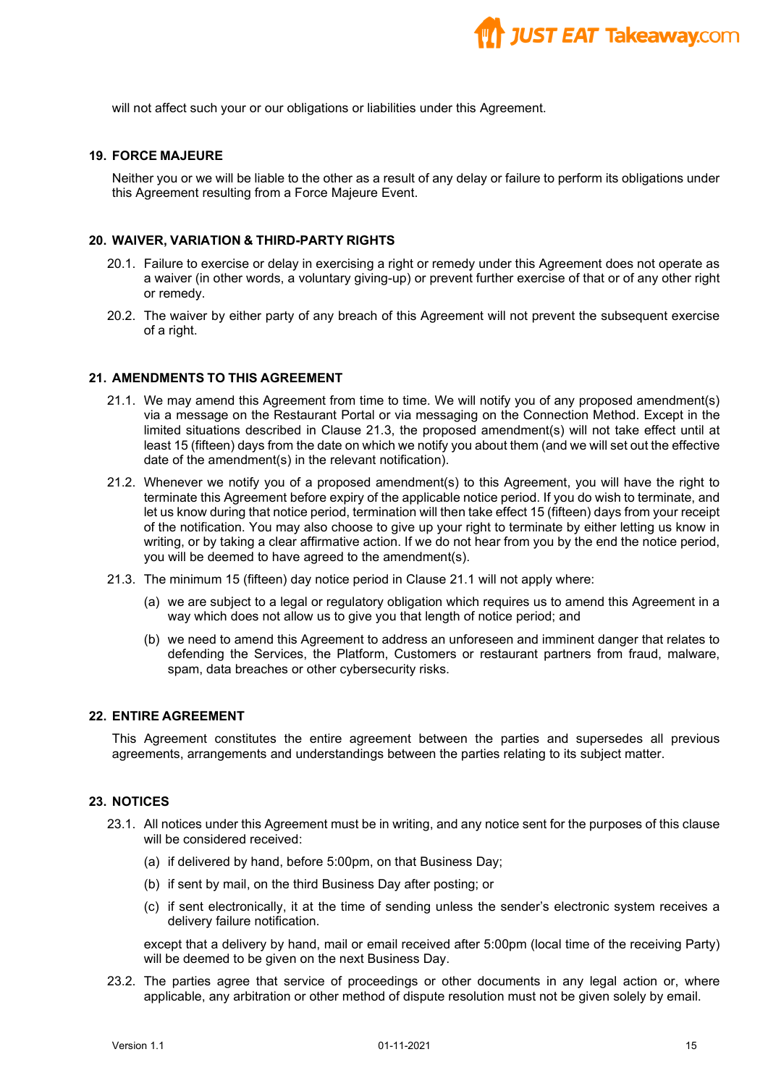

will not affect such your or our obligations or liabilities under this Agreement.

#### **19. FORCE MAJEURE**

Neither you or we will be liable to the other as a result of any delay or failure to perform its obligations under this Agreement resulting from a Force Majeure Event.

## **20. WAIVER, VARIATION & THIRD-PARTY RIGHTS**

- 20.1. Failure to exercise or delay in exercising a right or remedy under this Agreement does not operate as a waiver (in other words, a voluntary giving-up) or prevent further exercise of that or of any other right or remedy.
- 20.2. The waiver by either party of any breach of this Agreement will not prevent the subsequent exercise of a right.

#### **21. AMENDMENTS TO THIS AGREEMENT**

- 21.1. We may amend this Agreement from time to time. We will notify you of any proposed amendment(s) via a message on the Restaurant Portal or via messaging on the Connection Method. Except in the limited situations described in Clause 21.3, the proposed amendment(s) will not take effect until at least 15 (fifteen) days from the date on which we notify you about them (and we will set out the effective date of the amendment(s) in the relevant notification).
- 21.2. Whenever we notify you of a proposed amendment(s) to this Agreement, you will have the right to terminate this Agreement before expiry of the applicable notice period. If you do wish to terminate, and let us know during that notice period, termination will then take effect 15 (fifteen) days from your receipt of the notification. You may also choose to give up your right to terminate by either letting us know in writing, or by taking a clear affirmative action. If we do not hear from you by the end the notice period, you will be deemed to have agreed to the amendment(s).
- 21.3. The minimum 15 (fifteen) day notice period in Clause 21.1 will not apply where:
	- (a) we are subject to a legal or regulatory obligation which requires us to amend this Agreement in a way which does not allow us to give you that length of notice period; and
	- (b) we need to amend this Agreement to address an unforeseen and imminent danger that relates to defending the Services, the Platform, Customers or restaurant partners from fraud, malware, spam, data breaches or other cybersecurity risks.

#### **22. ENTIRE AGREEMENT**

This Agreement constitutes the entire agreement between the parties and supersedes all previous agreements, arrangements and understandings between the parties relating to its subject matter.

# **23. NOTICES**

- 23.1. All notices under this Agreement must be in writing, and any notice sent for the purposes of this clause will be considered received:
	- (a) if delivered by hand, before 5:00pm, on that Business Day;
	- (b) if sent by mail, on the third Business Day after posting; or
	- (c) if sent electronically, it at the time of sending unless the sender's electronic system receives a delivery failure notification.

except that a delivery by hand, mail or email received after 5:00pm (local time of the receiving Party) will be deemed to be given on the next Business Day.

23.2. The parties agree that service of proceedings or other documents in any legal action or, where applicable, any arbitration or other method of dispute resolution must not be given solely by email.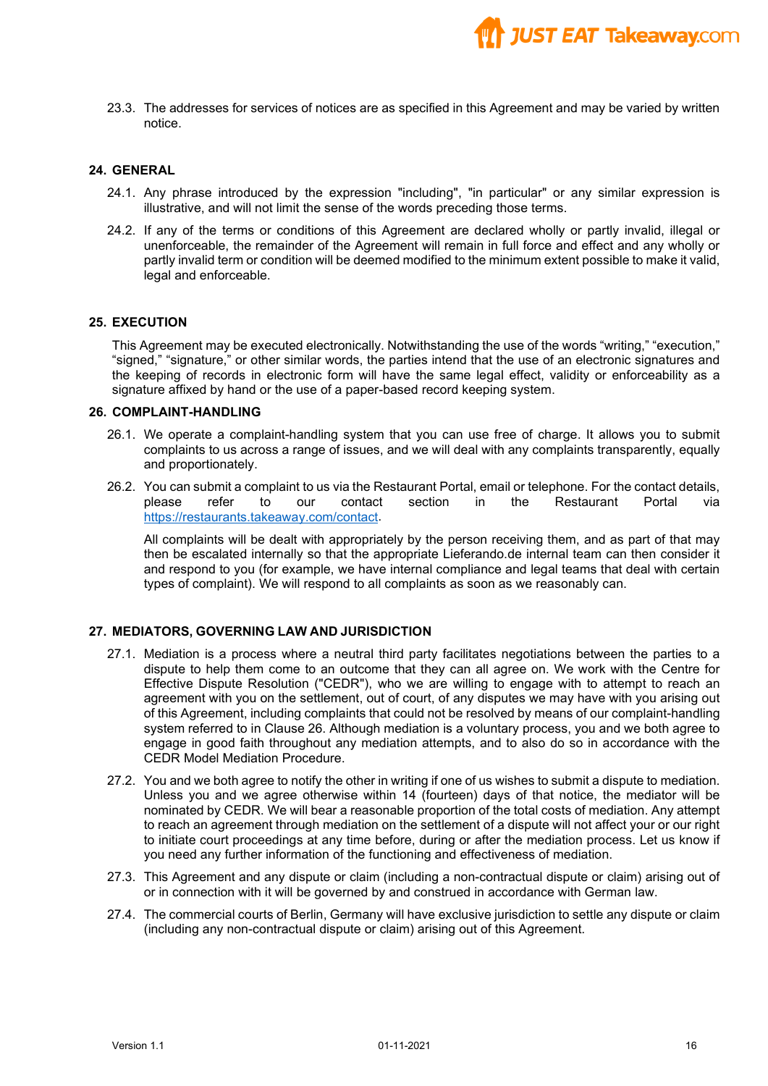

23.3. The addresses for services of notices are as specified in this Agreement and may be varied by written notice.

#### **24. GENERAL**

- 24.1. Any phrase introduced by the expression "including", "in particular" or any similar expression is illustrative, and will not limit the sense of the words preceding those terms.
- 24.2. If any of the terms or conditions of this Agreement are declared wholly or partly invalid, illegal or unenforceable, the remainder of the Agreement will remain in full force and effect and any wholly or partly invalid term or condition will be deemed modified to the minimum extent possible to make it valid, legal and enforceable.

## **25. EXECUTION**

This Agreement may be executed electronically. Notwithstanding the use of the words "writing," "execution," "signed," "signature," or other similar words, the parties intend that the use of an electronic signatures and the keeping of records in electronic form will have the same legal effect, validity or enforceability as a signature affixed by hand or the use of a paper-based record keeping system.

#### **26. COMPLAINT-HANDLING**

- 26.1. We operate a complaint-handling system that you can use free of charge. It allows you to submit complaints to us across a range of issues, and we will deal with any complaints transparently, equally and proportionately.
- 26.2. You can submit a complaint to us via the Restaurant Portal, email or telephone. For the contact details,<br>please refer to our contact section in the Restaurant Portal via please refer to our contact section in the Restaurant Portal via [https://restaurants.takeaway.com/contact.](https://restaurants.takeaway.com/contact)

All complaints will be dealt with appropriately by the person receiving them, and as part of that may then be escalated internally so that the appropriate Lieferando.de internal team can then consider it and respond to you (for example, we have internal compliance and legal teams that deal with certain types of complaint). We will respond to all complaints as soon as we reasonably can.

## **27. MEDIATORS, GOVERNING LAW AND JURISDICTION**

- 27.1. Mediation is a process where a neutral third party facilitates negotiations between the parties to a dispute to help them come to an outcome that they can all agree on. We work with the Centre for Effective Dispute Resolution ("CEDR"), who we are willing to engage with to attempt to reach an agreement with you on the settlement, out of court, of any disputes we may have with you arising out of this Agreement, including complaints that could not be resolved by means of our complaint-handling system referred to in Clause 26. Although mediation is a voluntary process, you and we both agree to engage in good faith throughout any mediation attempts, and to also do so in accordance with the CEDR Model Mediation Procedure.
- 27.2. You and we both agree to notify the other in writing if one of us wishes to submit a dispute to mediation. Unless you and we agree otherwise within 14 (fourteen) days of that notice, the mediator will be nominated by CEDR. We will bear a reasonable proportion of the total costs of mediation. Any attempt to reach an agreement through mediation on the settlement of a dispute will not affect your or our right to initiate court proceedings at any time before, during or after the mediation process. Let us know if you need any further information of the functioning and effectiveness of mediation.
- 27.3. This Agreement and any dispute or claim (including a non-contractual dispute or claim) arising out of or in connection with it will be governed by and construed in accordance with German law.
- 27.4. The commercial courts of Berlin, Germany will have exclusive jurisdiction to settle any dispute or claim (including any non-contractual dispute or claim) arising out of this Agreement.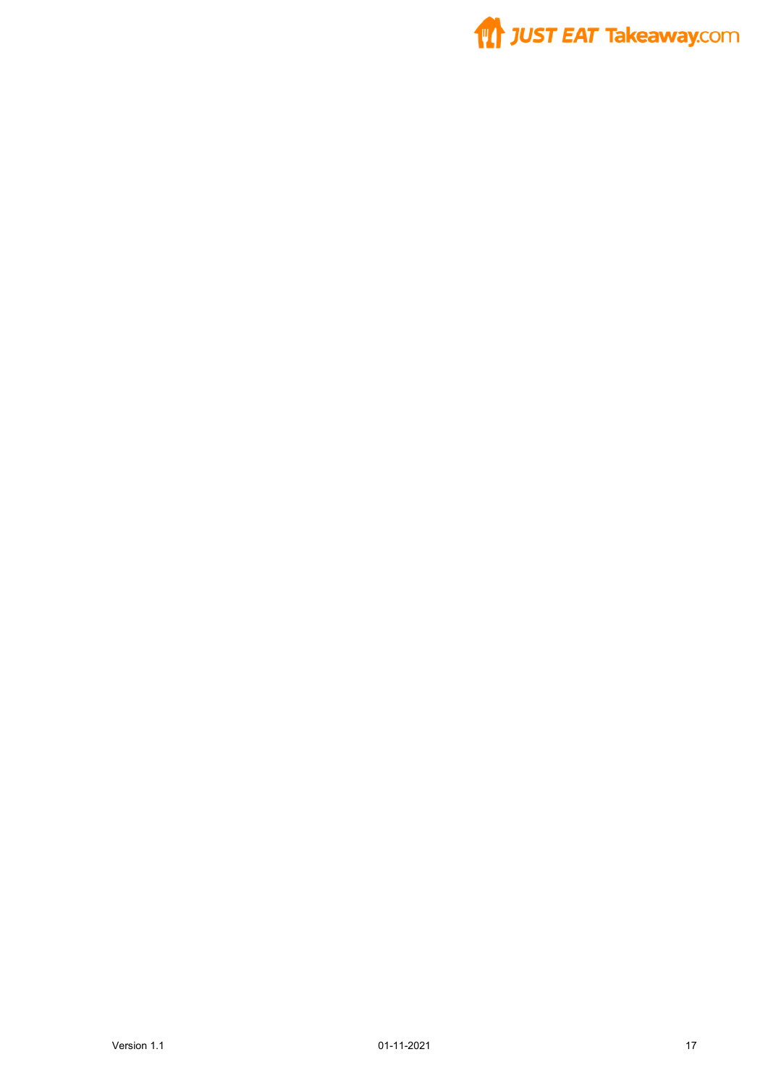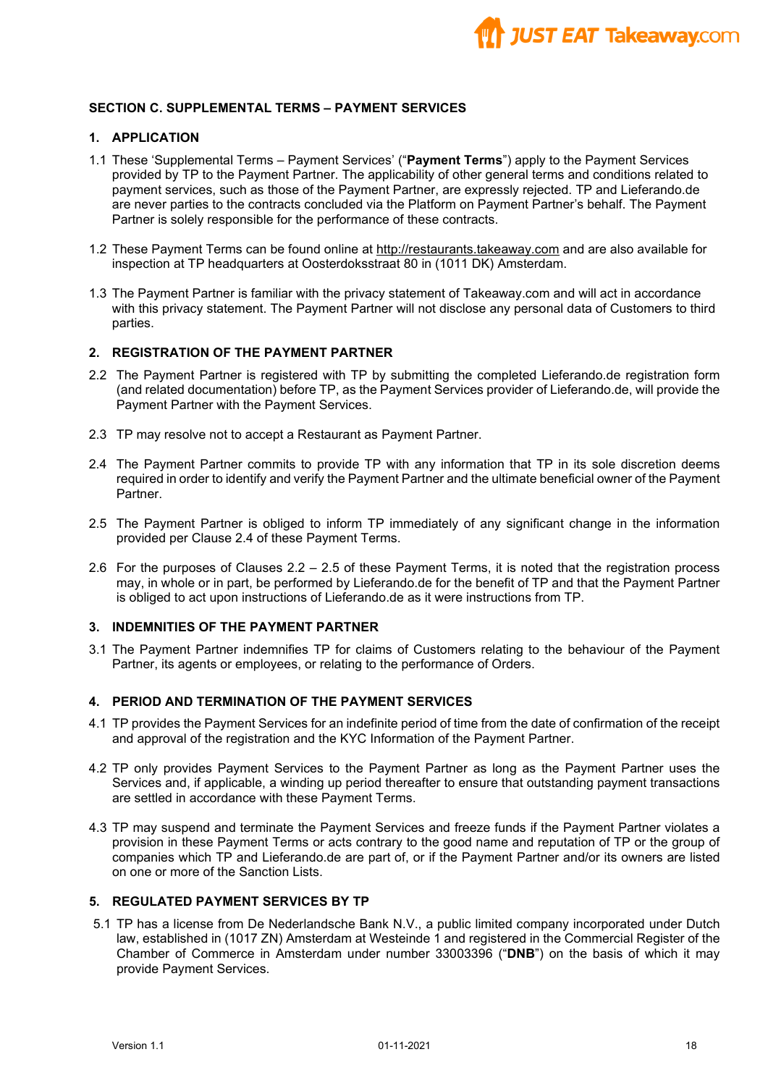

# **SECTION C. SUPPLEMENTAL TERMS – PAYMENT SERVICES**

# **1. APPLICATION**

- 1.1 These 'Supplemental Terms Payment Services' ("**Payment Terms**") apply to the Payment Services provided by TP to the Payment Partner. The applicability of other general terms and conditions related to payment services, such as those of the Payment Partner, are expressly rejected. TP and Lieferando.de are never parties to the contracts concluded via the Platform on Payment Partner's behalf. The Payment Partner is solely responsible for the performance of these contracts.
- 1.2 These Payment Terms can be found online at [http://restaurants.takeaway.com](http://restaurants.takeaway.com/) and are also available for inspection at TP headquarters at Oosterdoksstraat 80 in (1011 DK) Amsterdam.
- 1.3 The Payment Partner is familiar with the privacy statement of Takeaway.com and will act in accordance with this privacy statement. The Payment Partner will not disclose any personal data of Customers to third parties.

#### **2. REGISTRATION OF THE PAYMENT PARTNER**

- 2.2 The Payment Partner is registered with TP by submitting the completed Lieferando.de registration form (and related documentation) before TP, as the Payment Services provider of Lieferando.de, will provide the Payment Partner with the Payment Services.
- 2.3 TP may resolve not to accept a Restaurant as Payment Partner.
- 2.4 The Payment Partner commits to provide TP with any information that TP in its sole discretion deems required in order to identify and verify the Payment Partner and the ultimate beneficial owner of the Payment Partner.
- 2.5 The Payment Partner is obliged to inform TP immediately of any significant change in the information provided per Clause 2.4 of these Payment Terms.
- 2.6 For the purposes of Clauses 2.2 2.5 of these Payment Terms, it is noted that the registration process may, in whole or in part, be performed by Lieferando.de for the benefit of TP and that the Payment Partner is obliged to act upon instructions of Lieferando.de as it were instructions from TP.

## **3. INDEMNITIES OF THE PAYMENT PARTNER**

3.1 The Payment Partner indemnifies TP for claims of Customers relating to the behaviour of the Payment Partner, its agents or employees, or relating to the performance of Orders.

# **4. PERIOD AND TERMINATION OF THE PAYMENT SERVICES**

- 4.1 TP provides the Payment Services for an indefinite period of time from the date of confirmation of the receipt and approval of the registration and the KYC Information of the Payment Partner.
- 4.2 TP only provides Payment Services to the Payment Partner as long as the Payment Partner uses the Services and, if applicable, a winding up period thereafter to ensure that outstanding payment transactions are settled in accordance with these Payment Terms.
- 4.3 TP may suspend and terminate the Payment Services and freeze funds if the Payment Partner violates a provision in these Payment Terms or acts contrary to the good name and reputation of TP or the group of companies which TP and Lieferando.de are part of, or if the Payment Partner and/or its owners are listed on one or more of the Sanction Lists.

# **5. REGULATED PAYMENT SERVICES BY TP**

5.1 TP has a license from De Nederlandsche Bank N.V., a public limited company incorporated under Dutch law, established in (1017 ZN) Amsterdam at Westeinde 1 and registered in the Commercial Register of the Chamber of Commerce in Amsterdam under number 33003396 ("**DNB**") on the basis of which it may provide Payment Services.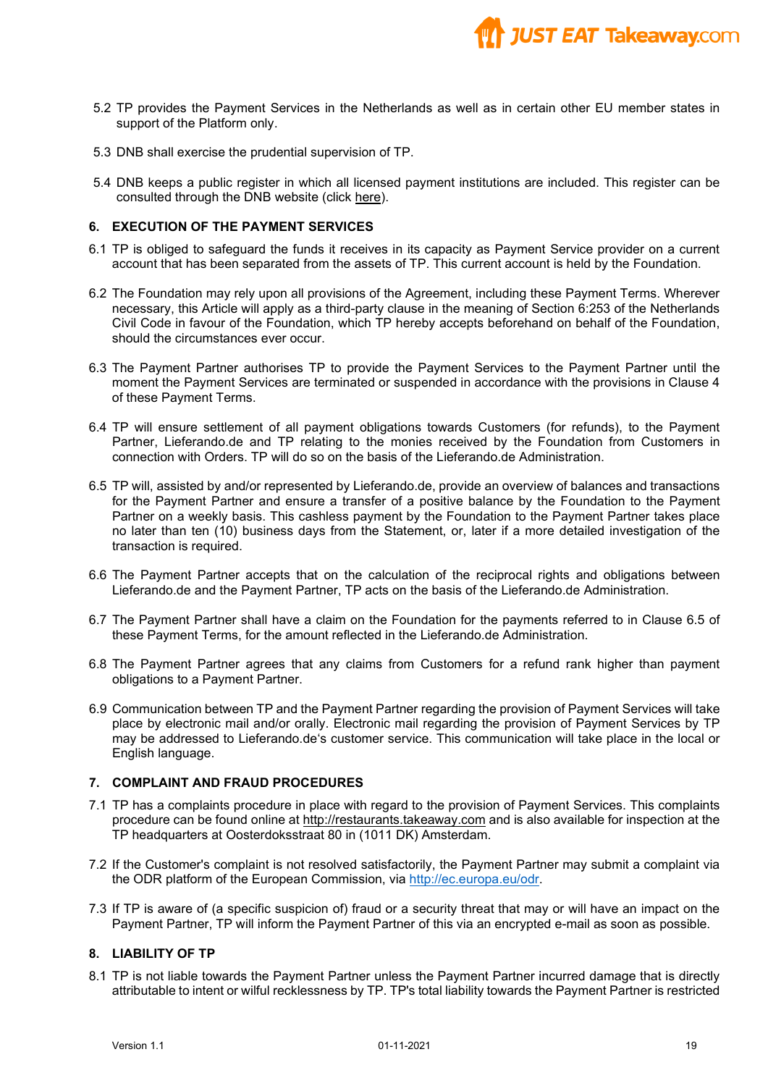

- 5.2 TP provides the Payment Services in the Netherlands as well as in certain other EU member states in support of the Platform only.
- 5.3 DNB shall exercise the prudential supervision of TP.
- 5.4 DNB keeps a public register in which all licensed payment institutions are included. This register can be consulted through the DNB website (click [here\)](http://www.dnb.nl/toezichtprofessioneel/de-consument-en-toezicht/registers/WFTBI/index.jsp).

#### **6. EXECUTION OF THE PAYMENT SERVICES**

- 6.1 TP is obliged to safeguard the funds it receives in its capacity as Payment Service provider on a current account that has been separated from the assets of TP. This current account is held by the Foundation.
- 6.2 The Foundation may rely upon all provisions of the Agreement, including these Payment Terms. Wherever necessary, this Article will apply as a third-party clause in the meaning of Section 6:253 of the Netherlands Civil Code in favour of the Foundation, which TP hereby accepts beforehand on behalf of the Foundation, should the circumstances ever occur.
- 6.3 The Payment Partner authorises TP to provide the Payment Services to the Payment Partner until the moment the Payment Services are terminated or suspended in accordance with the provisions in Clause 4 of these Payment Terms.
- 6.4 TP will ensure settlement of all payment obligations towards Customers (for refunds), to the Payment Partner, Lieferando.de and TP relating to the monies received by the Foundation from Customers in connection with Orders. TP will do so on the basis of the Lieferando.de Administration.
- 6.5 TP will, assisted by and/or represented by Lieferando.de, provide an overview of balances and transactions for the Payment Partner and ensure a transfer of a positive balance by the Foundation to the Payment Partner on a weekly basis. This cashless payment by the Foundation to the Payment Partner takes place no later than ten (10) business days from the Statement, or, later if a more detailed investigation of the transaction is required.
- 6.6 The Payment Partner accepts that on the calculation of the reciprocal rights and obligations between Lieferando.de and the Payment Partner, TP acts on the basis of the Lieferando.de Administration.
- 6.7 The Payment Partner shall have a claim on the Foundation for the payments referred to in Clause 6.5 of these Payment Terms, for the amount reflected in the Lieferando.de Administration.
- 6.8 The Payment Partner agrees that any claims from Customers for a refund rank higher than payment obligations to a Payment Partner.
- 6.9 Communication between TP and the Payment Partner regarding the provision of Payment Services will take place by electronic mail and/or orally. Electronic mail regarding the provision of Payment Services by TP may be addressed to Lieferando.de's customer service. This communication will take place in the local or English language.

#### **7. COMPLAINT AND FRAUD PROCEDURES**

- 7.1 TP has a complaints procedure in place with regard to the provision of Payment Services. This complaints procedure can be found online at [http://restaurants.takeaway.com](http://restaurants.takeaway.com/) and is also available for inspection at the TP headquarters at Oosterdoksstraat 80 in (1011 DK) Amsterdam.
- 7.2 If the Customer's complaint is not resolved satisfactorily, the Payment Partner may submit a complaint via the ODR platform of the European Commission, via [http://ec.europa.eu/odr.](http://ec.europa.eu/odr)
- 7.3 If TP is aware of (a specific suspicion of) fraud or a security threat that may or will have an impact on the Payment Partner, TP will inform the Payment Partner of this via an encrypted e-mail as soon as possible.

# **8. LIABILITY OF TP**

8.1 TP is not liable towards the Payment Partner unless the Payment Partner incurred damage that is directly attributable to intent or wilful recklessness by TP. TP's total liability towards the Payment Partner is restricted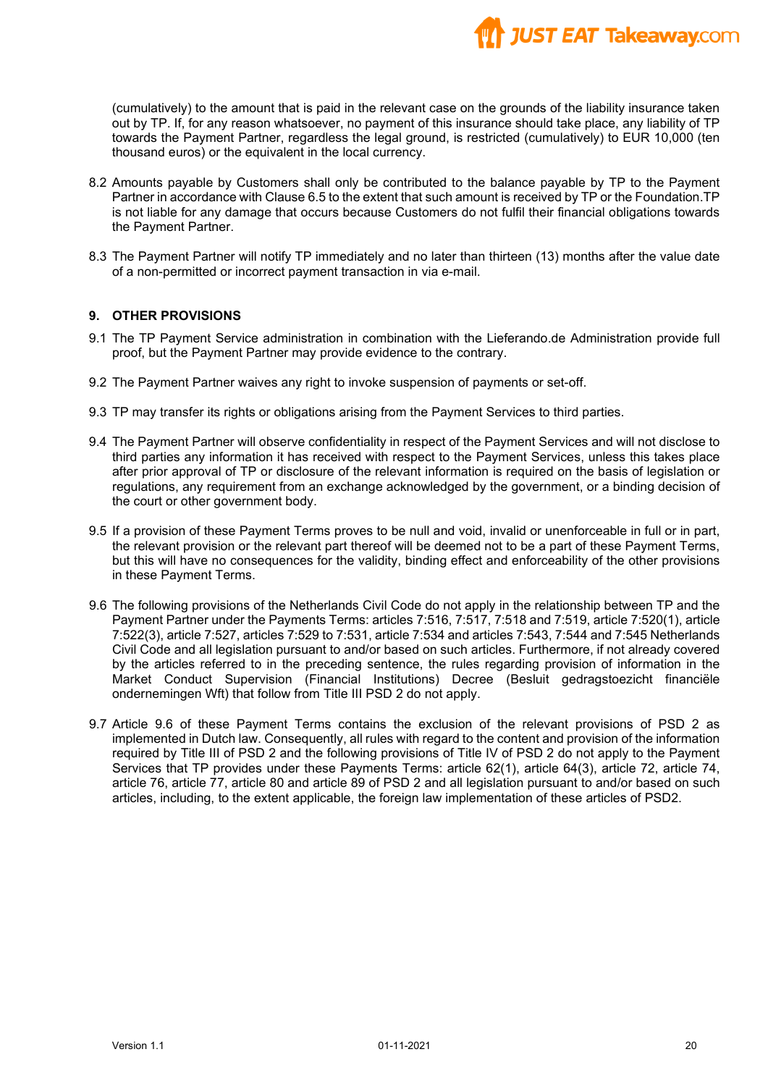

(cumulatively) to the amount that is paid in the relevant case on the grounds of the liability insurance taken out by TP. If, for any reason whatsoever, no payment of this insurance should take place, any liability of TP towards the Payment Partner, regardless the legal ground, is restricted (cumulatively) to EUR 10,000 (ten thousand euros) or the equivalent in the local currency.

- 8.2 Amounts payable by Customers shall only be contributed to the balance payable by TP to the Payment Partner in accordance with Clause 6.5 to the extent that such amount is received by TP or the Foundation.TP is not liable for any damage that occurs because Customers do not fulfil their financial obligations towards the Payment Partner.
- 8.3 The Payment Partner will notify TP immediately and no later than thirteen (13) months after the value date of a non-permitted or incorrect payment transaction in via e-mail.

## **9. OTHER PROVISIONS**

- 9.1 The TP Payment Service administration in combination with the Lieferando.de Administration provide full proof, but the Payment Partner may provide evidence to the contrary.
- 9.2 The Payment Partner waives any right to invoke suspension of payments or set-off.
- 9.3 TP may transfer its rights or obligations arising from the Payment Services to third parties.
- 9.4 The Payment Partner will observe confidentiality in respect of the Payment Services and will not disclose to third parties any information it has received with respect to the Payment Services, unless this takes place after prior approval of TP or disclosure of the relevant information is required on the basis of legislation or regulations, any requirement from an exchange acknowledged by the government, or a binding decision of the court or other government body.
- 9.5 If a provision of these Payment Terms proves to be null and void, invalid or unenforceable in full or in part, the relevant provision or the relevant part thereof will be deemed not to be a part of these Payment Terms, but this will have no consequences for the validity, binding effect and enforceability of the other provisions in these Payment Terms.
- 9.6 The following provisions of the Netherlands Civil Code do not apply in the relationship between TP and the Payment Partner under the Payments Terms: articles 7:516, 7:517, 7:518 and 7:519, article 7:520(1), article 7:522(3), article 7:527, articles 7:529 to 7:531, article 7:534 and articles 7:543, 7:544 and 7:545 Netherlands Civil Code and all legislation pursuant to and/or based on such articles. Furthermore, if not already covered by the articles referred to in the preceding sentence, the rules regarding provision of information in the Market Conduct Supervision (Financial Institutions) Decree (Besluit gedragstoezicht financiële ondernemingen Wft) that follow from Title III PSD 2 do not apply.
- 9.7 Article 9.6 of these Payment Terms contains the exclusion of the relevant provisions of PSD 2 as implemented in Dutch law. Consequently, all rules with regard to the content and provision of the information required by Title III of PSD 2 and the following provisions of Title IV of PSD 2 do not apply to the Payment Services that TP provides under these Payments Terms: article 62(1), article 64(3), article 72, article 74, article 76, article 77, article 80 and article 89 of PSD 2 and all legislation pursuant to and/or based on such articles, including, to the extent applicable, the foreign law implementation of these articles of PSD2.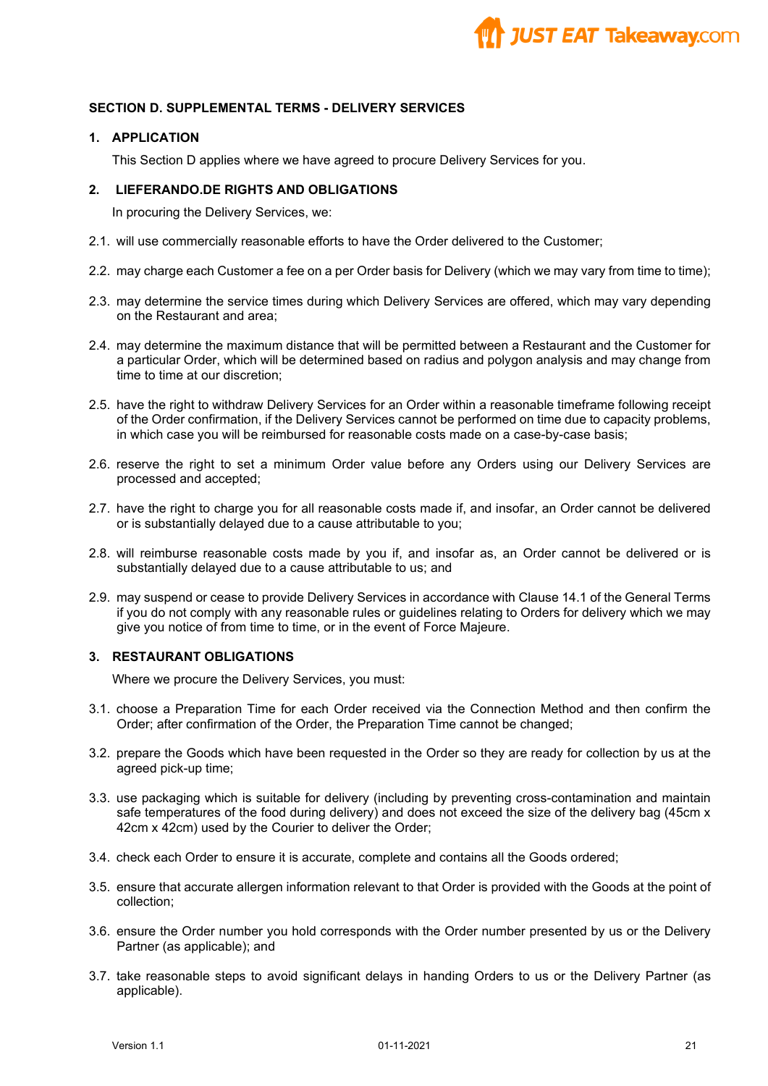

# **SECTION D. SUPPLEMENTAL TERMS - DELIVERY SERVICES**

## **1. APPLICATION**

This Section D applies where we have agreed to procure Delivery Services for you.

#### **2. LIEFERANDO.DE RIGHTS AND OBLIGATIONS**

In procuring the Delivery Services, we:

- 2.1. will use commercially reasonable efforts to have the Order delivered to the Customer;
- 2.2. may charge each Customer a fee on a per Order basis for Delivery (which we may vary from time to time);
- 2.3. may determine the service times during which Delivery Services are offered, which may vary depending on the Restaurant and area;
- 2.4. may determine the maximum distance that will be permitted between a Restaurant and the Customer for a particular Order, which will be determined based on radius and polygon analysis and may change from time to time at our discretion;
- 2.5. have the right to withdraw Delivery Services for an Order within a reasonable timeframe following receipt of the Order confirmation, if the Delivery Services cannot be performed on time due to capacity problems, in which case you will be reimbursed for reasonable costs made on a case-by-case basis;
- 2.6. reserve the right to set a minimum Order value before any Orders using our Delivery Services are processed and accepted;
- 2.7. have the right to charge you for all reasonable costs made if, and insofar, an Order cannot be delivered or is substantially delayed due to a cause attributable to you;
- 2.8. will reimburse reasonable costs made by you if, and insofar as, an Order cannot be delivered or is substantially delayed due to a cause attributable to us; and
- 2.9. may suspend or cease to provide Delivery Services in accordance with Clause 14.1 of the General Terms if you do not comply with any reasonable rules or guidelines relating to Orders for delivery which we may give you notice of from time to time, or in the event of Force Majeure.

# **3. RESTAURANT OBLIGATIONS**

Where we procure the Delivery Services, you must:

- 3.1. choose a Preparation Time for each Order received via the Connection Method and then confirm the Order; after confirmation of the Order, the Preparation Time cannot be changed;
- 3.2. prepare the Goods which have been requested in the Order so they are ready for collection by us at the agreed pick-up time;
- 3.3. use packaging which is suitable for delivery (including by preventing cross-contamination and maintain safe temperatures of the food during delivery) and does not exceed the size of the delivery bag (45cm x 42cm x 42cm) used by the Courier to deliver the Order;
- 3.4. check each Order to ensure it is accurate, complete and contains all the Goods ordered;
- 3.5. ensure that accurate allergen information relevant to that Order is provided with the Goods at the point of collection;
- 3.6. ensure the Order number you hold corresponds with the Order number presented by us or the Delivery Partner (as applicable); and
- 3.7. take reasonable steps to avoid significant delays in handing Orders to us or the Delivery Partner (as applicable).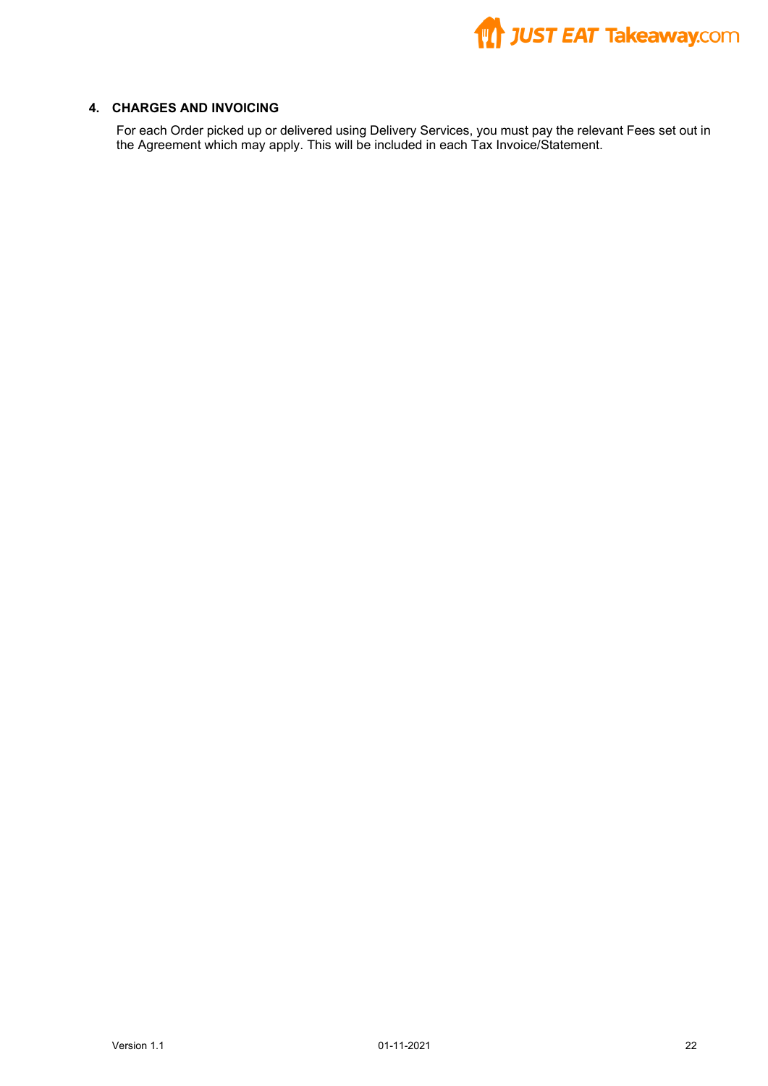

# **4. CHARGES AND INVOICING**

For each Order picked up or delivered using Delivery Services, you must pay the relevant Fees set out in the Agreement which may apply. This will be included in each Tax Invoice/Statement.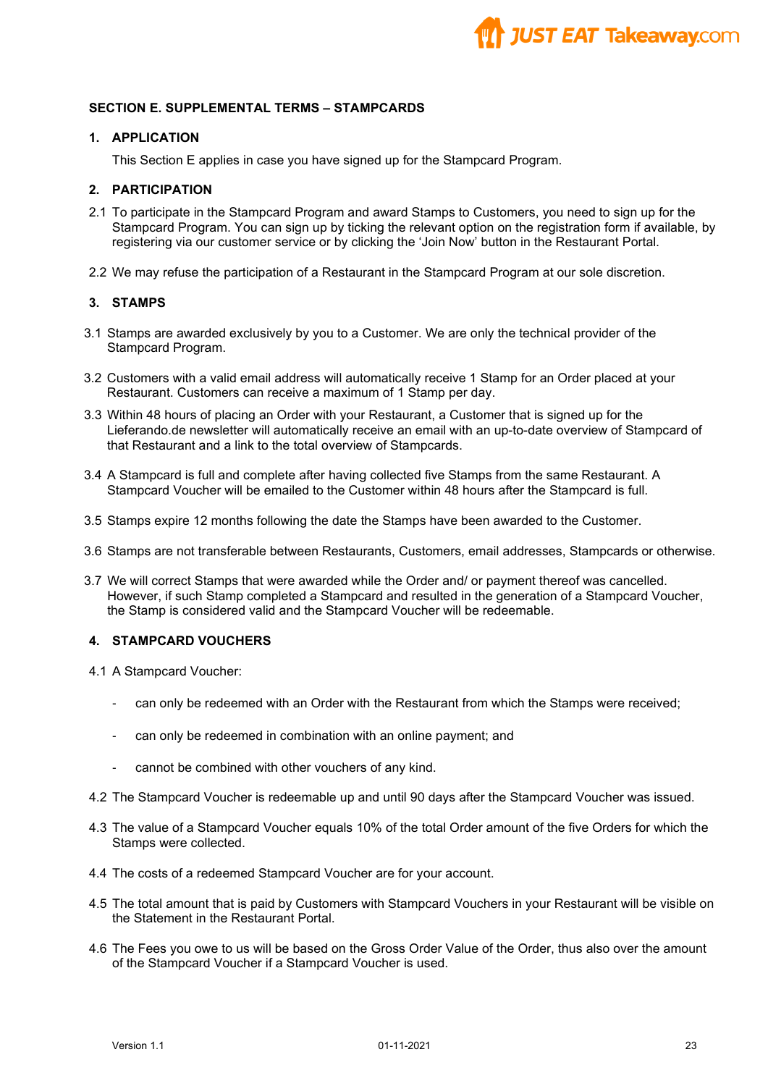

## **SECTION E. SUPPLEMENTAL TERMS – STAMPCARDS**

#### **1. APPLICATION**

This Section E applies in case you have signed up for the Stampcard Program.

#### **2. PARTICIPATION**

- 2.1 To participate in the Stampcard Program and award Stamps to Customers, you need to sign up for the Stampcard Program. You can sign up by ticking the relevant option on the registration form if available, by registering via our customer service or by clicking the 'Join Now' button in the Restaurant Portal.
- 2.2 We may refuse the participation of a Restaurant in the Stampcard Program at our sole discretion.

# **3. STAMPS**

- 3.1 Stamps are awarded exclusively by you to a Customer. We are only the technical provider of the Stampcard Program.
- 3.2 Customers with a valid email address will automatically receive 1 Stamp for an Order placed at your Restaurant. Customers can receive a maximum of 1 Stamp per day.
- 3.3 Within 48 hours of placing an Order with your Restaurant, a Customer that is signed up for the Lieferando.de newsletter will automatically receive an email with an up-to-date overview of Stampcard of that Restaurant and a link to the total overview of Stampcards.
- 3.4 A Stampcard is full and complete after having collected five Stamps from the same Restaurant. A Stampcard Voucher will be emailed to the Customer within 48 hours after the Stampcard is full.
- 3.5 Stamps expire 12 months following the date the Stamps have been awarded to the Customer.
- 3.6 Stamps are not transferable between Restaurants, Customers, email addresses, Stampcards or otherwise.
- 3.7 We will correct Stamps that were awarded while the Order and/ or payment thereof was cancelled. However, if such Stamp completed a Stampcard and resulted in the generation of a Stampcard Voucher, the Stamp is considered valid and the Stampcard Voucher will be redeemable.

# **4. STAMPCARD VOUCHERS**

- 4.1 A Stampcard Voucher:
	- can only be redeemed with an Order with the Restaurant from which the Stamps were received;
	- can only be redeemed in combination with an online payment; and
	- cannot be combined with other vouchers of any kind.
- 4.2 The Stampcard Voucher is redeemable up and until 90 days after the Stampcard Voucher was issued.
- 4.3 The value of a Stampcard Voucher equals 10% of the total Order amount of the five Orders for which the Stamps were collected.
- 4.4 The costs of a redeemed Stampcard Voucher are for your account.
- 4.5 The total amount that is paid by Customers with Stampcard Vouchers in your Restaurant will be visible on the Statement in the Restaurant Portal.
- 4.6 The Fees you owe to us will be based on the Gross Order Value of the Order, thus also over the amount of the Stampcard Voucher if a Stampcard Voucher is used.